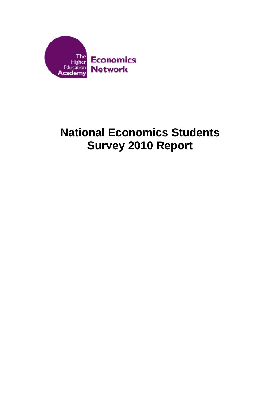

# **National Economics Students Survey 2010 Report**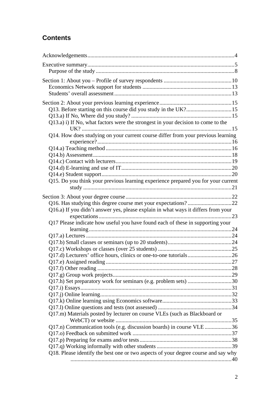# **Contents**

| Q13.a) i) If No, what factors were the strongest in your decision to come to the   |  |
|------------------------------------------------------------------------------------|--|
|                                                                                    |  |
| Q14. How does studying on your current course differ from your previous learning   |  |
|                                                                                    |  |
|                                                                                    |  |
|                                                                                    |  |
|                                                                                    |  |
|                                                                                    |  |
|                                                                                    |  |
| Q15. Do you think your previous learning experience prepared you for your current  |  |
|                                                                                    |  |
|                                                                                    |  |
|                                                                                    |  |
| Q16.a) If you didn't answer yes, please explain in what ways it differs from your  |  |
|                                                                                    |  |
| Q17 Please indicate how useful you have found each of these in supporting your     |  |
|                                                                                    |  |
|                                                                                    |  |
|                                                                                    |  |
|                                                                                    |  |
|                                                                                    |  |
|                                                                                    |  |
|                                                                                    |  |
|                                                                                    |  |
| Q17.h) Set preparatory work for seminars (e.g. problem sets) 30                    |  |
|                                                                                    |  |
|                                                                                    |  |
|                                                                                    |  |
|                                                                                    |  |
| Q17.m) Materials posted by lecturer on course VLEs (such as Blackboard or          |  |
|                                                                                    |  |
| Q17.n) Communication tools (e.g. discussion boards) in course VLE 36               |  |
|                                                                                    |  |
|                                                                                    |  |
|                                                                                    |  |
| Q18. Please identify the best one or two aspects of your degree course and say why |  |
|                                                                                    |  |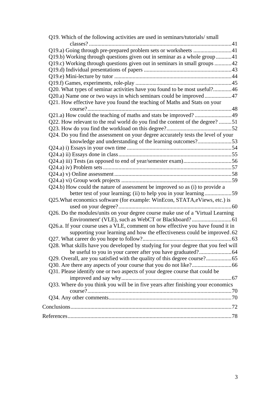| Q19. Which of the following activities are used in seminars/tutorials/ small       |  |
|------------------------------------------------------------------------------------|--|
|                                                                                    |  |
| Q19.a) Going through pre-prepared problem sets or worksheets 41                    |  |
| Q19.b) Working through questions given out in seminar as a whole group41           |  |
| Q19.c) Working through questions given out in seminars in small groups 42          |  |
|                                                                                    |  |
|                                                                                    |  |
|                                                                                    |  |
| Q20. What types of seminar activities have you found to be most useful?46          |  |
|                                                                                    |  |
| Q21. How effective have you found the teaching of Maths and Stats on your          |  |
|                                                                                    |  |
| Q21.a) How could the teaching of maths and stats be improved? 49                   |  |
| Q22. How relevant to the real world do you find the content of the degree?51       |  |
|                                                                                    |  |
| Q24. Do you find the assessment on your degree accurately tests the level of your  |  |
| knowledge and understanding of the learning outcomes?53                            |  |
|                                                                                    |  |
|                                                                                    |  |
|                                                                                    |  |
|                                                                                    |  |
|                                                                                    |  |
|                                                                                    |  |
| Q24.b) How could the nature of assessment be improved so as (i) to provide a       |  |
| better test of your learning; (ii) to help you in your learning59                  |  |
| Q25. What economics software (for example: WinEcon, STATA, eViews, etc.) is        |  |
|                                                                                    |  |
| Q26. Do the modules/units on your degree course make use of a 'Virtual Learning'   |  |
|                                                                                    |  |
| Q26.a. If your course uses a VLE, comment on how effective you have found it in    |  |
| supporting your learning and how the effectiveness could be improved.62            |  |
|                                                                                    |  |
| Q28. What skills have you developed by studying for your degree that you feel will |  |
|                                                                                    |  |
|                                                                                    |  |
|                                                                                    |  |
| Q31. Please identify one or two aspects of your degree course that could be        |  |
|                                                                                    |  |
| Q33. Where do you think you will be in five years after finishing your economics   |  |
|                                                                                    |  |
|                                                                                    |  |
|                                                                                    |  |
|                                                                                    |  |
|                                                                                    |  |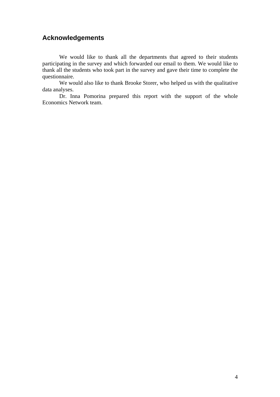# **Acknowledgements**

We would like to thank all the departments that agreed to their students participating in the survey and which forwarded our email to them. We would like to thank all the students who took part in the survey and gave their time to complete the questionnaire.

We would also like to thank Brooke Storer, who helped us with the qualitative data analyses.

Dr. Inna Pomorina prepared this report with the support of the whole Economics Network team.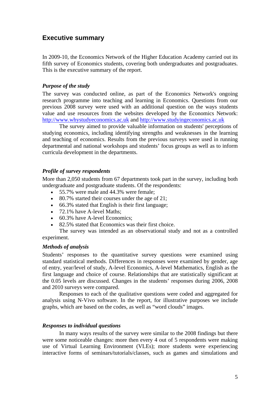# **Executive summary**

In 2009-10, the Economics Network of the Higher Education Academy carried out its fifth survey of Economics students, covering both undergraduates and postgraduates. This is the executive summary of the report.

#### *Purpose of the study*

The survey was conducted online, as part of the Economics Network's ongoing research programme into teaching and learning in Economics. Questions from our previous 2008 survey were used with an additional question on the ways students value and use resources from the websites developed by the Economics Network: http://www.whystudyeconomics.ac.uk and http://www.studyingeconomics.ac.uk

The survey aimed to provide valuable information on students' perceptions of studying economics, including identifying strengths and weaknesses in the learning and teaching of economics. Results from the previous surveys were used in running departmental and national workshops and students' focus groups as well as to inform curricula development in the departments.

#### *Profile of survey respondents*

More than 2,050 students from 67 departments took part in the survey, including both undergraduate and postgraduate students. Of the respondents:

- 55.7% were male and 44.3% were female;
- 80.7% started their courses under the age of 21;
- 66.3% stated that English is their first language;
- 72.1% have A-level Maths:
- 60.3% have A-level Economics:
- 82.5% stated that Economics was their first choice.

 The survey was intended as an observational study and not as a controlled experiment.

#### *Methods of analysis*

Students' responses to the quantitative survey questions were examined using standard statistical methods. Differences in responses were examined by gender, age of entry, year/level of study, A-level Economics, A-level Mathematics, English as the first language and choice of course. Relationships that are statistically significant at the 0.05 levels are discussed. Changes in the students' responses during 2006, 2008 and 2010 surveys were compared.

Responses to each of the qualitative questions were coded and aggregated for analysis using N-Vivo software. In the report, for illustrative purposes we include graphs, which are based on the codes, as well as "word clouds" images.

#### *Responses to individual questions*

In many ways results of the survey were similar to the 2008 findings but there were some noticeable changes: more then every 4 out of 5 respondents were making use of Virtual Learning Environment (VLEs); more students were experiencing interactive forms of seminars/tutorials/classes, such as games and simulations and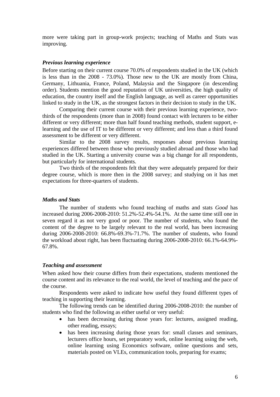more were taking part in group-work projects; teaching of Maths and Stats was improving.

#### *Previous learning experience*

Before starting on their current course 70.0% of respondents studied in the UK (which is less than in the 2008 - 73.0%). Those new to the UK are mostly from China, Germany, Lithuania, France, Poland, Malaysia and the Singapore (in descending order). Students mention the good reputation of UK universities, the high quality of education, the country itself and the English language, as well as career opportunities linked to study in the UK, as the strongest factors in their decision to study in the UK.

Comparing their current course with their previous learning experience, twothirds of the respondents (more than in 2008) found contact with lecturers to be either different or very different; more than half found teaching methods, student support, elearning and the use of IT to be different or very different; and less than a third found assessment to be different or very different.

Similar to the 2008 survey results, responses about previous learning experiences differed between those who previously studied abroad and those who had studied in the UK. Starting a university course was a big change for all respondents, but particularly for international students.

Two thirds of the respondents felt that they were adequately prepared for their degree course, which is more then in the 2008 survey; and studying on it has met expectations for three-quarters of students.

#### *Maths and Stats*

The number of students who found teaching of maths and stats *Good* has increased during 2006-2008-2010: 51.2%-52.4%-54.1%. At the same time still one in seven regard it as not very good or poor. The number of students, who found the content of the degree to be largely relevant to the real world, has been increasing during 2006-2008-2010: 66.8%-69.3%-71.7%. The number of students, who found the workload about right, has been fluctuating during 2006-2008-2010: 66.1%-64.9%- 67.8%.

#### *Teaching and assessment*

When asked how their course differs from their expectations, students mentioned the course content and its relevance to the real world, the level of teaching and the pace of the course.

Respondents were asked to indicate how useful they found different types of teaching in supporting their learning.

The following trends can be identified during 2006-2008-2010: the number of students who find the following as either useful or very useful:

- has been decreasing during those years for: lectures, assigned reading, other reading, essays;
- has been increasing during those years for: small classes and seminars, lecturers office hours, set preparatory work, online learning using the web, online learning using Economics software, online questions and sets, materials posted on VLEs, communication tools, preparing for exams;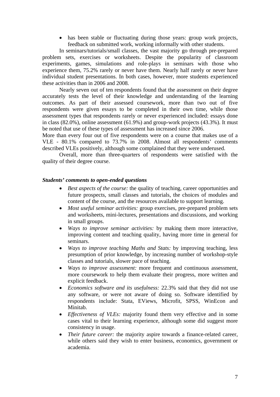• has been stable or fluctuating during those years: group work projects, feedback on submitted work, working informally with other students.

In seminars/tutorials/small classes, the vast majority go through pre-prepared problem sets, exercises or worksheets. Despite the popularity of classroom experiments, games, simulations and role-plays in seminars with those who experience them, 75.2% rarely or never have them. Nearly half rarely or never have individual student presentations. In both cases, however, more students experienced these activities than in 2006 and 2008.

Nearly seven out of ten respondents found that the assessment on their degree accurately tests the level of their knowledge and understanding of the learning outcomes. As part of their assessed coursework, more than two out of five respondents were given essays to be completed in their own time, while those assessment types that respondents rarely or never experienced included: essays done in class (82.0%), online assessment (61.9%) and group-work projects (43.3%). It must be noted that use of these types of assessment has increased since 2006.

More than every four out of five respondents were on a course that makes use of a VLE - 80.1% compared to 73.7% in 2008. Almost all respondents' comments described VLEs positively, although some complained that they were underused.

Overall, more than three-quarters of respondents were satisfied with the quality of their degree course.

#### *Students' comments to open-ended questions*

- *Best aspects of the course:* the quality of teaching, career opportunities and future prospects, small classes and tutorials, the choices of modules and content of the course, and the resources available to support learning.
- *Most useful seminar activities:* group exercises, pre-prepared problem sets and worksheets, mini-lectures, presentations and discussions, and working in small groups.
- *Ways to improve seminar activities:* by making them more interactive, improving content and teaching quality, having more time in general for seminars.
- *Ways to improve teaching Maths and Stats:* by improving teaching, less presumption of prior knowledge, by increasing number of workshop-style classes and tutorials, slower pace of teaching.
- *Ways to improve assessment:* more frequent and continuous assessment, more coursework to help them evaluate their progress, more written and explicit feedback.
- *Economics software and its usefulness:* 22.3% said that they did not use any software, or were not aware of doing so. Software identified by respondents include: Stata, EViews, Microfit, SPSS, WinEcon and Minitab.
- *Effectiveness of VLEs:* majority found them very effective and in some cases vital to their learning experience, although some did suggest more consistency in usage.
- *Their future career:* the majority aspire towards a finance-related career, while others said they wish to enter business, economics, government or academia.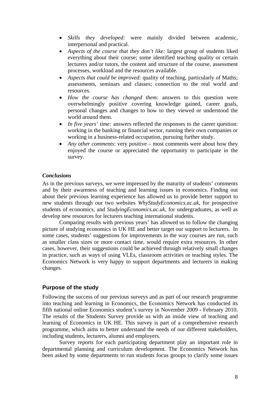- *Skills they developed:* were mainly divided between academic, interpersonal and practical.
- *Aspects of the course that they don't like:* largest group of students liked everything about their course; some identified teaching quality or certain lecturers and/or tutors, the content and structure of the course, assessment processes, workload and the resources available.
- *Aspects that could be improved:* quality of teaching, particularly of Maths; assessments, seminars and classes; connection to the real world and resources.
- *How the course has changed them:* answers to this question were overwhelmingly positive covering knowledge gained, career goals, personal changes and changes to how to they viewed or understood the world around them.
- *In five years' time:* answers reflected the responses to the career question: working in the banking or financial sector, running their own companies or working in a business-related occupation, pursuing further study.
- *Any other comments:* very positive most comments were about how they enjoyed the course or appreciated the opportunity to participate in the survey.

#### *Conclusions*

As in the previous surveys, we were impressed by the maturity of students' comments and by their awareness of teaching and learning issues in economics. Finding out about their previous learning experience has allowed us to provide better support to new students through our two websites *WhyStudyEconomics.ac.uk*, for prospective students of economics, and *StudyingEconomics.ac.uk*, for undergraduates, as well as develop new resources for lecturers teaching international students.

Comparing results with previous years' has allowed us to follow the changing picture of studying economics in UK HE and better target our support to lecturers. In some cases, students' suggestions for improvements in the way courses are run, such as smaller class sizes or more contact time, would require extra resources. In other cases, however, their suggestions could be achieved through relatively small changes in practice, such as ways of using VLEs, classroom activities or teaching styles. The Economics Network is very happy to support departments and lecturers in making changes.

#### **Purpose of the study**

Following the success of our previous surveys and as part of our research programme into teaching and learning in Economics, the Economics Network has conducted its fifth national online Economics student's survey in November 2009 - February 2010. The results of the Students Survey provide us with an inside view of teaching and learning of Economics in UK HE. This survey is part of a comprehensive research programme, which aims to better understand the needs of our different stakeholders, including students, lecturers, alumni and employers.

Survey reports for each participating department play an important role in departmental planning and curriculum development. The Economics Network has been asked by some departments to run students focus groups to clarify some issues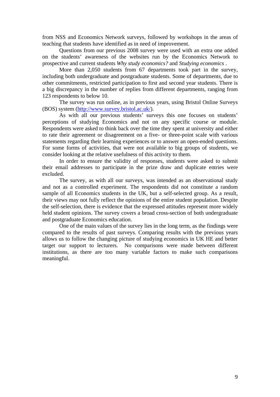from NSS and Economics Network surveys, followed by workshops in the areas of teaching that students have identified as in need of improvement.

Questions from our previous 2008 survey were used with an extra one added on the students' awareness of the websites run by the Economics Network to prospective and current students *Why study economics?* and *Studying economics* .

More than 2,050 students from 67 departments took part in the survey, including both undergraduate and postgraduate students. Some of departments, due to other commitments, restricted participation to first and second year students. There is a big discrepancy in the number of replies from different departments, ranging from 123 respondents to below 10.

The survey was run online, as in previous years, using Bristol Online Surveys (BOS) system (http://www.survey.bristol.ac.uk/).

As with all our previous students' surveys this one focuses on students' perceptions of studying Economics and not on any specific course or module. Respondents were asked to think back over the time they spent at university and either to rate their agreement or disagreement on a five- or three-point scale with various statements regarding their learning experiences or to answer an open-ended questions. For some forms of activities, that were not available to big groups of students, we consider looking at the relative usefulness of this activity to them.

In order to ensure the validity of responses, students were asked to submit their email addresses to participate in the prize draw and duplicate entries were excluded.

The survey, as with all our surveys, was intended as an observational study and not as a controlled experiment. The respondents did not constitute a random sample of all Economics students in the UK, but a self-selected group. As a result, their views may not fully reflect the opinions of the entire student population. Despite the self-selection, there is evidence that the expressed attitudes represent more widely held student opinions. The survey covers a broad cross-section of both undergraduate and postgraduate Economics education.

One of the main values of the survey lies in the long term, as the findings were compared to the results of past surveys. Comparing results with the previous years allows us to follow the changing picture of studying economics in UK HE and better target our support to lecturers. No comparisons were made between different institutions, as there are too many variable factors to make such comparisons meaningful.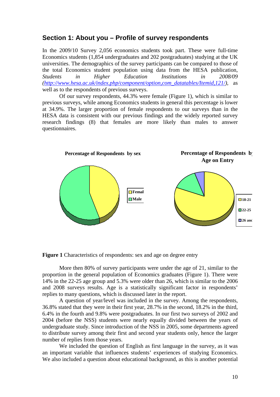# **Section 1: About you – Profile of survey respondents**

In the 2009/10 Survey 2,056 economics students took part. These were full-time Economics students (1,854 undergraduates and 202 postgraduates) studying at the UK universities. The demographics of the survey participants can be compared to those of the total Economics student population using data from the HESA publication, *Students in Higher Education Institutions in 2008/09 (http://www.hesa.ac.uk/index.php/component/option,com\_datatables/Itemid,121/),* as well as to the respondents of previous surveys.

Of our survey respondents, 44.3% were female (Figure 1), which is similar to previous surveys, while among Economics students in general this percentage is lower at 34.9%. The larger proportion of female respondents to our surveys than in the HESA data is consistent with our previous findings and the widely reported survey research findings (8) that females are more likely than males to answer questionnaires.



**Figure 1** Characteristics of respondents: sex and age on degree entry

More then 80% of survey participants were under the age of 21, similar to the proportion in the general population of Economics graduates (Figure 1). There were 14% in the 22-25 age group and 5.3% were older than 26, which is similar to the 2006 and 2008 surveys results. Age is a statistically significant factor in respondents' replies to many questions, which is discussed later in the report.

A question of year/level was included in the survey. Among the respondents, 36.8% stated that they were in their first year, 28.7% in the second, 18.2% in the third, 6.4% in the fourth and 9.8% were postgraduates. In our first two surveys of 2002 and 2004 (before the NSS) students were nearly equally divided between the years of undergraduate study. Since introduction of the NSS in 2005, some departments agreed to distribute survey among their first and second year students only, hence the larger number of replies from those years.

We included the question of English as first language in the survey, as it was an important variable that influences students' experiences of studying Economics. We also included a question about educational background, as this is another potential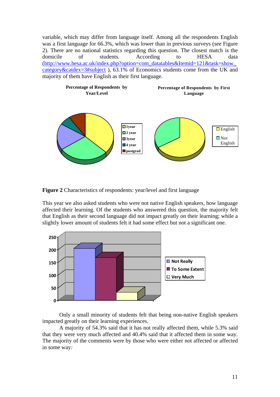variable, which may differ from language itself. Among all the respondents English was a first language for 66.3%, which was lower than in previous surveys (see Figure 2). There are no national statistics regarding this question. The closest match is the domicile of students. According to HESA data (http://www.hesa.ac.uk/index.php?option=com\_datatables&Itemid=121&task=show\_ category&catdex=3#subject ), 63.1% of Economics students come from the UK and majority of them have English as their first language.



**Figure 2** Characteristics of respondents: year/level and first language

This year we also asked students who were not native English speakers, how language affected their learning. Of the students who answered this question, the majority felt that English as their second language did not impact greatly on their learning; while a slightly lower amount of students felt it had some effect but not a significant one.



Only a small minority of students felt that being non-native English speakers impacted greatly on their learning experiences.

A majority of 54.3% said that it has not really affected them, while 5.3% said that they were very much affected and 40.4% said that it affected them in some way. The majority of the comments were by those who were either not affected or affected in some way*:*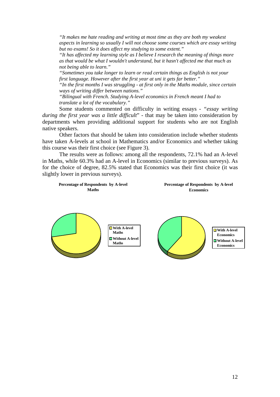*"It makes me hate reading and writing at most time as they are both my weakest aspects in learning so usually I will not choose some courses which are essay writing but no exams! So it does affect my studying to some extent."* 

*"It has affected my learning style as I believe I research the meaning of things more as that would be what I wouldn't understand, but it hasn't affected me that much as not being able to learn."* 

*"Sometimes you take longer to learn or read certain things as English is not your first language. However after the first year at uni it gets far better."* 

*"In the first months I was struggling - at first only in the Maths module, since certain ways of writing differ between nations."* 

*"Bilingual with French. Studying A-level economics in French meant I had to translate a lot of the vocabulary."*

Some students commented on difficulty in writing essays - *"essay writing during the first year was a little difficult*" - that may be taken into consideration by departments when providing additional support for students who are not English native speakers.

Other factors that should be taken into consideration include whether students have taken A-levels at school in Mathematics and/or Economics and whether taking this course was their first choice (see Figure 3).

The results were as follows: among all the respondents, 72.1% had an A-level in Maths, while 60.3% had an A-level in Economics (similar to previous surveys). As for the choice of degree, 82.5% stated that Economics was their first choice (it was slightly lower in previous surveys).

#### **Percentage of Respondents by A-level Maths**

**Percentage of Respondents by A-level Economics**

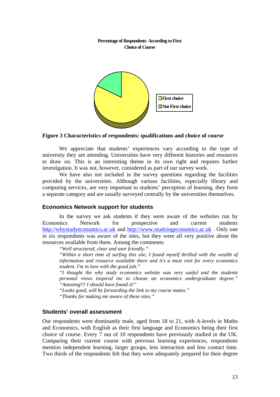#### **Percentage of Respondents According to First Choice of Course**



#### **Figure 3 Characteristics of respondents: qualifications and choice of course**

We appreciate that students' experiences vary according to the type of university they are attending. Universities have very different histories and resources to draw on. This is an interesting theme in its own right and requires further investigation. It was not, however, considered as part of our survey work.

We have also not included in the survey questions regarding the facilities provided by the universities. Although various facilities, especially library and computing services, are very important to students' perception of learning, they form a separate category and are usually surveyed centrally by the universities themselves.

#### **Economics Network support for students**

In the survey we ask students if they were aware of the websites run by Economics Network for prospective and current students http://whystudyeconomics.ac.uk and http://www.studyingeconomics.ac.uk . Only one in six respondents was aware of the sites, but they were all very positive about the resources available from them. Among the comments:

*"Well structured, clear and user friendly."* 

*"Within a short time of surfing this site, I found myself thrilled with the wealth of information and resource available there and it's a must visit for every economics student. I'm in love with the good job."* 

*"I thought the why study economics website was very useful and the students personal views inspired me to choose an economics undergraduate degree." "Amazing!!! I should have found it!"* 

*"Looks good, will be forwarding the link to my course mates."* 

*"Thanks for making me aware of these sites."* 

#### **Students' overall assessment**

Our respondents were dominantly male, aged from 18 to 21, with A-levels in Maths and Economics, with English as their first language and Economics being their first choice of course. Every 7 out of 10 respondents have previously studied in the UK. Comparing their current course with previous learning experiences, respondents mention independent learning, larger groups, less interaction and less contact time. Two thirds of the respondents felt that they were adequately prepared for their degree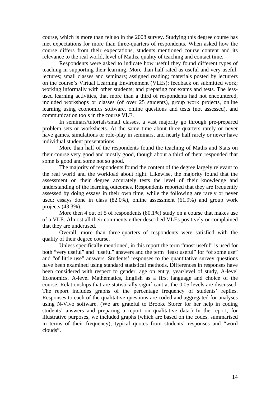course, which is more than felt so in the 2008 survey. Studying this degree course has met expectations for more than three-quarters of respondents. When asked how the course differs from their expectations, students mentioned course content and its relevance to the real world, level of Maths, quality of teaching and contact time.

Respondents were asked to indicate how useful they found different types of teaching in supporting their learning. More than half rated as useful and very useful: lectures; small classes and seminars; assigned reading; materials posted by lecturers on the course's Virtual Learning Environment (VLEs); feedback on submitted work; working informally with other students; and preparing for exams and tests. The lessused learning activities, that more than a third of respondents had not encountered, included workshops or classes (of over 25 students), group work projects, online learning using economics software, online questions and tests (not assessed), and communication tools in the course VLE.

In seminars/tutorials/small classes, a vast majority go through pre-prepared problem sets or worksheets. At the same time about three-quarters rarely or never have games, simulations or role-play in seminars, and nearly half rarely or never have individual student presentations.

More than half of the respondents found the teaching of Maths and Stats on their course very good and mostly good, though about a third of them responded that some is good and some not so good.

The majority of respondents found the content of the degree largely relevant to the real world and the workload about right. Likewise, the majority found that the assessment on their degree accurately tests the level of their knowledge and understanding of the learning outcomes. Respondents reported that they are frequently assessed by doing essays in their own time, while the following are rarely or never used: essays done in class (82.0%), online assessment (61.9%) and group work projects (43.3%).

More then 4 out of 5 of respondents (80.1%) study on a course that makes use of a VLE. Almost all their comments either described VLEs positively or complained that they are underused.

Overall, more than three-quarters of respondents were satisfied with the quality of their degree course.

Unless specifically mentioned, in this report the term "most useful" is used for both "very useful" and "useful" answers and the term "least useful" for "of some use" and "of little use" answers. Students' responses to the quantitative survey questions have been examined using standard statistical methods. Differences in responses have been considered with respect to gender, age on entry, year/level of study, A-level Economics, A-level Mathematics, English as a first language and choice of the course. Relationships that are statistically significant at the 0.05 levels are discussed. The report includes graphs of the percentage frequency of students' replies. Responses to each of the qualitative questions are coded and aggregated for analyses using N-Vivo software. (We are grateful to Brooke Storer for her help in coding students' answers and preparing a report on qualitative data.) In the report, for illustrative purposes, we included graphs (which are based on the codes, summarised in terms of their frequency), typical quotes from students' responses and "word clouds".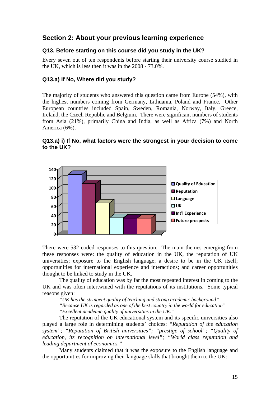# **Section 2: About your previous learning experience**

## **Q13. Before starting on this course did you study in the UK?**

Every seven out of ten respondents before starting their university course studied in the UK, which is less then it was in the 2008 - 73.0%.

# **Q13.a) If No, Where did you study?**

The majority of students who answered this question came from Europe (54%), with the highest numbers coming from Germany, Lithuania, Poland and France. Other European countries included Spain, Sweden, Romania, Norway, Italy, Greece, Ireland, the Czech Republic and Belgium. There were significant numbers of students from Asia (21%), primarily China and India, as well as Africa (7%) and North America (6%).

## **Q13.a) i) If No, what factors were the strongest in your decision to come to the UK?**



There were 532 coded responses to this question. The main themes emerging from these responses were: the quality of education in the UK, the reputation of UK universities; exposure to the English language; a desire to be in the UK itself; opportunities for international experience and interactions; and career opportunities thought to be linked to study in the UK.

The quality of education was by far the most repeated interest in coming to the UK and was often intertwined with the reputations of its institutions. Some typical reasons given:

*"UK has the stringent quality of teaching and strong academic background"* 

*"Because UK is regarded as one of the best country in the world for education"* 

*"Excellent academic quality of universities in the UK.*"

The reputation of the UK educational system and its specific universities also played a large role in determining students' choices: *"Reputation of the education system"; "Reputation of British universities"; "prestige of school"; "Quality of education, its recognition on international level"; "World class reputation and leading department of economics."*

Many students claimed that it was the exposure to the English language and the opportunities for improving their language skills that brought them to the UK: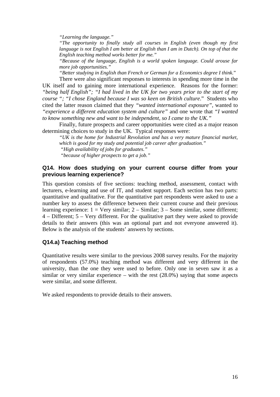*"Learning the language."* 

*"The opportunity to finally study all courses in English (even though my first language is not English I am better at English than I am in Dutch). On top of that the English teaching method works better for me."* 

*"Because of the language, English is a world spoken language. Could arouse far more job opportunities."* 

*"Better studying in English than French or German for a Economics degree I think.*" There were also significant responses to interests in spending more time in the

UK itself and to gaining more international experience. Reasons for the former: *"being half English"; "I had lived in the UK for two years prior to the start of my course "; "I chose England because I was so keen on British culture*." Students who cited the latter reason claimed that they *"wanted international exposure",* wanted to *"experience a different education system and culture"* and one wrote that *"I wanted to know something new and want to be independent, so I came to the UK."*

Finally, future prospects and career opportunities were cited as a major reason determining choices to study in the UK. Typical responses were:

*"UK is the home for Industrial Revolution and has a very mature financial market, which is good for my study and potential job career after graduation." "High availability of jobs for graduates." "because of higher prospects to get a job."* 

#### **Q14. How does studying on your current course differ from your previous learning experience?**

This question consists of five sections: teaching method, assessment, contact with lecturers, e-learning and use of IT, and student support. Each section has two parts: quantitative and qualitative. For the quantitative part respondents were asked to use a number key to assess the difference between their current course and their previous learning experience:  $1 = \text{Very similar}; 2 - \text{Similar}; 3 - \text{Some similar};$  some different; 4 – Different; 5 – Very different. For the qualitative part they were asked to provide details to their answers (this was an optional part and not everyone answered it). Below is the analysis of the students' answers by sections.

## **Q14.a) Teaching method**

Quantitative results were similar to the previous 2008 survey results. For the majority of respondents (57.0%) teaching method was different and very different in the university, than the one they were used to before. Only one in seven saw it as a similar or very similar experience – with the rest (28.0%) saying that some aspects were similar, and some different.

We asked respondents to provide details to their answers.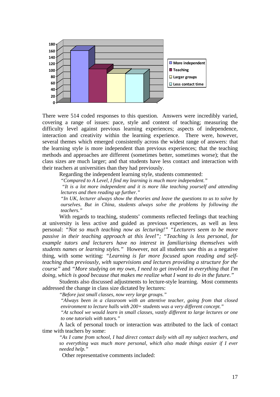

There were 514 coded responses to this question. Answers were incredibly varied, covering a range of issues: pace, style and content of teaching; measuring the difficulty level against previous learning experiences; aspects of independence, interaction and creativity within the learning experience. There were, however, several themes which emerged consistently across the widest range of answers: that the learning style is more independent than previous experiences; that the teaching methods and approaches are different (sometimes better, sometimes worse); that the class sizes are much larger; and that students have less contact and interaction with their teachers at universities than they had previously.

Regarding the independent learning style, students commented:

*"Compared to A Level, I find my learning is much more independent."* 

 *"It is a lot more independent and it is more like teaching yourself and attending lectures and then reading up further."* 

*"In UK, lecturer always show the theories and leave the questions to us to solve by ourselves. But in China, students always solve the problems by following the teachers."* 

With regards to teaching, students' comments reflected feelings that teaching at university is less active and guided as previous experiences, as well as less personal: *"Not so much teaching now as lecturing!" "Lecturers seem to be more passive in their teaching approach at this level*"; "Teaching is less personal, for *example tutors and lecturers have no interest in familiarising themselves with students names or learning styles."* However, not all students saw this as a negative thing, with some writing: *"Learning is far more focused upon reading and selfteaching than previously, with supervisions and lectures providing a structure for the course"* and *"More studying on my own, I need to get involved in everything that I'm doing, which is good because that makes me realize what I want to do in the future."* 

Students also discussed adjustments to lecture-style learning. Most comments addressed the change in class size dictated by lectures:

*"Before just small classes, now very large groups."* 

*"Always been in a classroom with an attentive teacher, going from that closed environment to lecture halls with 200+ students was a very different concept."* 

*"At school we would learn in small classes, vastly different to large lectures or one to one tutorials with tutors."* 

 A lack of personal touch or interaction was attributed to the lack of contact time with teachers by some:

*"As I came from school, I had direct contact daily with all my subject teachers, and so everything was much more personal, which also made things easier if I ever needed help."* 

Other representative comments included: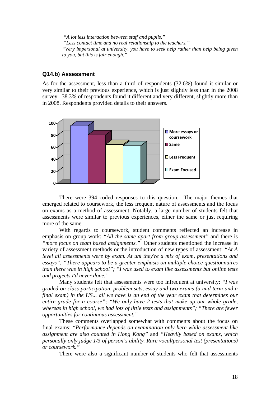*"A lot less interaction between staff and pupils." "Less contact time and no real relationship to the teachers." "Very impersonal at university, you have to seek help rather than help being given to you, but this is fair enough."* 

#### **Q14.b) Assessment**

As for the assessment, less than a third of respondents (32.6%) found it similar or very similar to their previous experience, which is just slightly less than in the 2008 survey. 38.3% of respondents found it different and very different, slightly more than in 2008. Respondents provided details to their answers.



There were 394 coded responses to this question. The major themes that emerged related to coursework, the less frequent nature of assessments and the focus on exams as a method of assessment. Notably, a large number of students felt that assessments were similar to previous experiences, either the same or just requiring more of the same.

With regards to coursework, student comments reflected an increase in emphasis on group work: *"All the same apart from group assessment"* and there is *"more focus on team based assignments."* Other students mentioned the increase in variety of assessment methods or the introduction of new types of assessment: *"At A level all assessments were by exam. At uni they're a mix of exam, presentations and essays"; "There appears to be a greater emphasis on multiple choice questionnaires than there was in high school"; "I was used to exam like assessments but online tests and projects I'd never done."* 

Many students felt that assessments were too infrequent at university: *"I was graded on class participation, problem sets, essay and two exams (a mid-term and a final exam) in the US... all we have is an end of the year exam that determines our entire grade for a course"; "We only have 2 tests that make up our whole grade, whereas in high school, we had lots of little tests and assignments"; "There are fewer opportunities for continuous assessment."* 

These comments overlapped somewhat with comments about the focus on final exams: *"Performance depends on examination only here while assessment like assignment are also counted in Hong Kong"* and *"Heavily based on exams, which personally only judge 1/3 of person's ability. Rare vocal/personal test (presentations) or coursework."* 

There were also a significant number of students who felt that assessments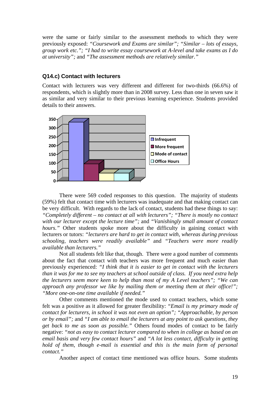were the same or fairly similar to the assessment methods to which they were previously exposed: *"Coursework and Exams are similar"; "Similar – lots of essays, group work etc."; "I had to write essay coursework at A-level and take exams as I do at university";* and *"The assessment methods are relatively similar."*

## **Q14.c) Contact with lecturers**

Contact with lecturers was very different and different for two-thirds (66.6%) of respondents, which is slightly more than in 2008 survey. Less than one in seven saw it as similar and very similar to their previous learning experience. Students provided details to their answers.



There were 569 coded responses to this question. The majority of students (59%) felt that contact time with lecturers was inadequate and that making contact can be very difficult. With regards to the lack of contact, students had these things to say: *"Completely different – no contact at all with lecturers"; "There is mostly no contact with our lecturer except the lecture time";* and *"Vanishingly small amount of contact hours.*" Other students spoke more about the difficulty in gaining contact with lecturers or tutors: *"lecturers are hard to get in contact with, whereas during previous schooling, teachers were readily available"* and *"Teachers were more readily available than lecturers."* 

Not all students felt like that, though. There were a good number of comments about the fact that contact with teachers was more frequent and much easier than previously experienced: *"I think that it is easier to get in contact with the lecturers than it was for me to see my teachers at school outside of class. If you need extra help the lecturers seem more keen to help than most of my A Level teachers"; "We can approach any professor we like by mailing them or meeting them at their office!"; "More one-on-one time available if needed."*

 Other comments mentioned the mode used to contact teachers, which some felt was a positive as it allowed for greater flexibility: *"Email is my primary mode of contact for lecturers, in school it was not even an option"; "Approachable, by person or by email";* and *"I am able to email the lecturers at any point to ask questions, they get back to me as soon as possible."* Others found modes of contact to be fairly negative: *"not as easy to contact lecturer compared to when in college as based on an email basis and very few contact hours"* and *"A lot less contact, difficulty in gettin*g *hold of them, though e-mail is essential and this is the main form of personal contact."* 

Another aspect of contact time mentioned was office hours. Some students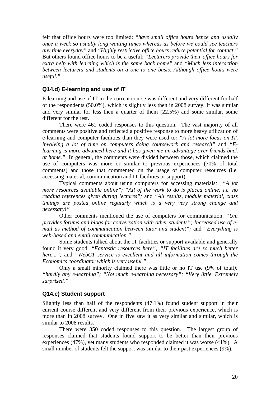felt that office hours were too limited: *"have small office hours hence and usually once a week so usually long waiting times whereas as before we could see teachers any time everyday"* and *"Highly restrictive office hours reduce potential for contact."* But others found office hours to be a useful: *"Lecturers provide their office hours for extra help with learning which is the same back home"* and *"Much less interaction between lecturers and students on a one to one basis. Although office hours were useful."*

# **Q14.d) E-learning and use of IT**

E-learning and use of IT in the current course was different and very different for half of the respondents (50.0%), which is slightly less then in 2008 survey. It was similar and very similar for less then a quarter of them (22.5%) and some similar, some different for the rest.

There were 461 coded responses to this question. The vast majority of all comments were positive and reflected a positive response to more heavy utilization of e-learning and computer facilities than they were used to*: "A lot more focus on IT, involving a lot of time on computers doing coursework and research"* and *"Elearning is more advanced here and it has given me an advantage over friends back at home."* In general, the comments were divided between those, which claimed the use of computers was more or similar to previous experiences (70% of total comments) and those that commented on the usage of computer resources (i.e. accessing material, communication and IT facilities or support).

Typical comments about using computers for accessing materials*: "A lot more resources available online"; "All of the work to do is placed online; i.e. no reading references given during lectures";* and *"All results, module material, class timings are posted online regularly which is a very very strong change and necessary!"*

Other comments mentioned the use of computers for communication: *"Uni provides forums and blogs for conversation with other students"; Increased use of email as method of communication between tutor and student";* and *"Everything is web-based and email communication."* 

Some students talked about the IT facilities or support available and generally found it very good: *"Fantastic resources here"; "IT facilities are so much better here...";* and *"WebCT service is excellent and all information comes through the Economics coordinator which is very useful."*

Only a small minority claimed there was little or no IT use (9% of total*): "hardly any e-learning"; "Not much e-learning necessary"; "Very little. Extremely surprised."*

## **Q14.e) Student support**

Slightly less than half of the respondents (47.1%) found student support in their current course different and very different from their previous experience, which is more than in 2008 survey. One in five saw it as very similar and similar, which is similar to 2008 results.

There were 350 coded responses to this question. The largest group of responses claimed that students found support to be better than their previous experiences (47%), yet many students who responded claimed it was worse (41%). A small number of students felt the support was similar to their past experiences (9%).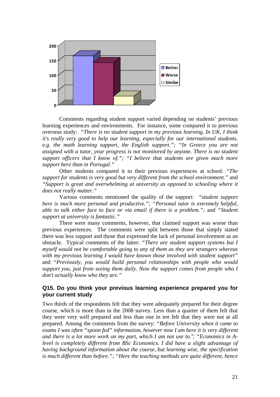

Comments regarding student support varied depending on students' previous learning experiences and environments. For instance, some compared it to previous overseas study: *"There is no student support in my previous learning. In UK, I think it's really very good to help our learning, especially for our international students. e.g. the math learning support, the English support."; "In Greece you are not assigned with a tutor, your progress is not monitored by anyone. There is no student support officers that I know of."; "I believe that students are given much more support here than in Portugal."*

Other students compared it to their previous experiences at school: *"The support for students is very good but very different from the school environment."* and *"Support is great and overwhelming at university as opposed to schooling where it does not really matter."* 

Various comments mentioned the quality of the support: *"student support here is much more personal and productive."; "Personal tutor is extremely helpful, able to talk either face to face or via email if there is a problem.";* and *"Student support at university is fantastic."* 

There were many comments, however, that claimed support was worse than previous experiences. The comments were split between those that simply stated there was less support and those that expressed the lack of personal involvement as an obstacle. Typical comments of the latter: *"There are student support systems but I myself would not be comfortable going to any of them as they are strangers whereas with my previous learning I would have known those involved with student support"*  and *"Previously, you would build personal relationships with people who would support you, just from seeing them daily. Now the support comes from people who I don't actually know who they are."* 

## **Q15. Do you think your previous learning experience prepared you for your current study**

Two thirds of the respondents felt that they were adequately prepared for their degree course, which is more than in the 2008 survey. Less than a quarter of them felt that they were very well prepared and less than one in ten felt that they were not at all prepared. Among the comments from the survey: *"Before University when it came to exams I was often "spoon fed" information, however now I am here it is very different and there is a lot more work on my part, which I am not use to."; "Economics in Alevel is completely different from BSc Economics. I did have a slight advantage of having background information about the course, but learning wise, the specification is much different than before."; "Here the teaching methods are quite different, hence*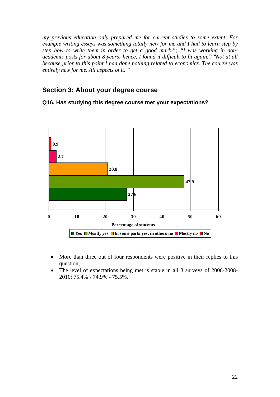*my previous education only prepared me for current studies to some extent. For example writing essays was something totally new for me and I had to learn step by step how to write them in order to get a good mark."; "I was working in nonacademic posts for about 8 years; hence, I found it difficult to fit again."; "Not at all because prior to this point I had done nothing related to economics. The course was entirely new for me. All aspects of it. "* 

# **Section 3: About your degree course**

## **Q16. Has studying this degree course met your expectations?**



- More than three out of four respondents were positive in their replies to this question;
- The level of expectations being met is stable in all 3 surveys of 2006-2008- 2010: 75.4% - 74.9% - 75.5%.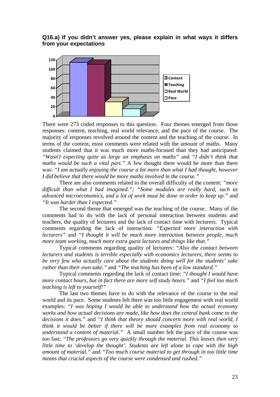#### **Q16.a) If you didn't answer yes, please explain in what ways it differs from your expectations**



There were 273 coded responses to this question. Four themes emerged from those responses: content, teaching, real world relevance, and the pace of the course. The majority of responses revolved around the content and the teaching of the course. In terms of the content, most comments were related with the amount of maths. Many students claimed that it was much more maths-focused than they had anticipated: *"Wasn't expecting quite as large an emphasis on maths"* and *"I didn't think that maths would be such a vital part."* A few thought there would be more than there was: *"I am actually enjoying the course a lot more than what I had thought, however I did believe that there would be more maths involved in the course."*

There are also comments related to the overall difficulty of the content: *"more difficult than what I had imagined."; "Some modules are really hard, such as advanced microeconomics, and a lot of work must be done in order to keep up."* and *"It was harder than I expected."* 

The second theme that emerged was the teaching of the course. Many of the comments had to do with the lack of personal interaction between students and teachers, the quality of lecturers and the lack of contact time with lecturers. Typical comments regarding the lack of interaction: *"Expected more interaction with lecturers"* and *"I thought it will be much more interaction between people, much more team working, much more extra guest lectures and things like that."*

Typical comments regarding quality of lecturers: *"Also the contact between lecturers and students is terrible especially with economics lecturers, there seems to be very few who actually care about the students doing well for the students' sake rather than their own sake."* and *"The teaching has been of a low standard."*

Typical comments regarding the lack of contact time: *"I thought I would have more contact hours, but in fact there are more self study hours."* and *"I feel too much teaching is left to yourself!"* 

The last two themes have to do with the relevance of the course to the real world and its pace. Some students felt there was too little engagement with real world examples: *"I was hoping I would be able to understand how the actual economy works and how actual decisions are made, like how does the central bank come to the decisions it does."* and *"I think that theory should concern more with real world, I think it would be better if there will be more examples from real economy to understand a content of material."* A small number felt the pace of the course was too fast: *"The professors go very quickly through the material. This leaves then very little time to 'develop the thought'*. *Students are left alone to cope with the high amount of material."* and *"Too much course material to get through in too little time means that crucial aspects of the course were condensed and rushed."*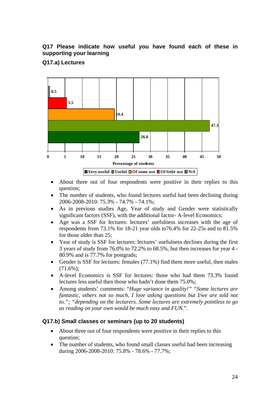# **Q17 Please indicate how useful you have found each of these in supporting your learning**

# **Q17.a) Lectures**



- About three out of four respondents were positive in their replies to this question;
- The number of students, who found lectures useful had been declining during 2006-2008-2010: 75.3% - 74.7% - 74.1%;
- As in previous studies Age, Year of study and Gender were statistically significant factors (SSF), with the additional factor- A-level Economics;
- Age was a SSF for lectures: lectures' usefulness increases with the age of respondents from 73.1% for 18-21 year olds to76.4% for 22-25s and to 81.5% for those older than 25;
- Year of study is SSF for lectures: lectures' usefulness declines during the first 3 years of study from 76.0% to 72.2% to 68.5%, but then increases for year 4 - 80.9% and is 77.7% for postgrads;
- Gender is SSF for lectures: females (77.1%) find them more useful, then males  $(71.6\%)$ :
- A-level Economics is SSF for lectures: those who had them 73.3% found lectures less useful then those who hadn't done them 75.0%;
- Among students' comments: "*Huge variance in quality!" "Some lectures are fantastic, others not so much, I love asking questions but I/we are told not to."; "depending on the lecturers. Some lectures are extremely pointless to go as reading on your own would be much easy and FUN.*".

## **Q17.b) Small classes or seminars (up to 20 students)**

- About three out of four respondents were positive in their replies to this question;
- The number of students, who found small classes useful had been increasing during 2006-2008-2010: 75.8% - 78.6% - 77.7%;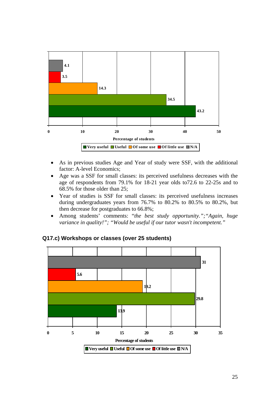

- As in previous studies Age and Year of study were SSF, with the additional factor: A-level Economics;
- Age was a SSF for small classes: its perceived usefulness decreases with the age of respondents from 79.1% for 18-21 year olds to72.6 to 22-25s and to 68.5% for those older than 25;
- Year of studies is SSF for small classes: its perceived usefulness increases during undergraduates years from 76.7% to 80.2% to 80.5% to 80.2%, but then decrease for postgraduates to 66.8%;
- Among students' comments: "*the best study opportunity.";"Again, huge variance in quality!"; "Would be useful if our tutor wasn't incompetent."*



## **Q17.c) Workshops or classes (over 25 students)**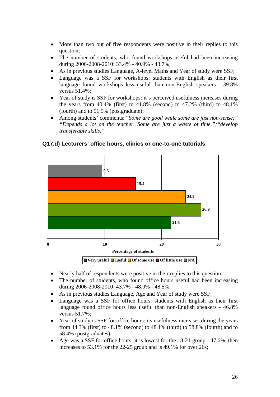- More than two out of five respondents were positive in their replies to this question;
- The number of students, who found workshops useful had been increasing during 2006-2008-2010: 33.4% - 40.9% - 43.7%;
- As in previous studies Language, A-level Maths and Year of study were SSF;
- Language was a SSF for workshops: students with English as their first language found workshops less useful than non-English speakers - 39.8% versus 51.4%;
- Year of study is SSF for workshops: it's perceived usefulness increases during the years from 40.4% (first) to 41.8% (second) to 47.2% (third) to 48.1% (fourth) and to 51.5% (postgraduate);
- Among students' comments: "*Some are good while some are just non-sense;" "Depends a lot on the teacher. Some are just a waste of time.";"develop transferable skills."*



## **Q17.d) Lecturers' office hours, clinics or one-to-one tutorials**

- Nearly half of respondents were positive in their replies to this question;
- The number of students, who found office hours useful had been increasing during 2006-2008-2010: 43.7% - 48.0% - 48.5%;
- As in previous studies Language, Age and Year of study were SSF;
- Language was a SSF for office hours: students with English as their first language found office hours less useful than non-English speakers - 46.8% versus 51.7%;
- Year of study is SSF for office hours: its usefulness increases during the years from 44.3% (first) to 48.1% (second) to 48.1% (third) to 58.8% (fourth) and to 58.4% (postgraduates);
- Age was a SSF for office hours: it is lowest for the 18-21 group 47.6%, then increases to 53.1% for the 22-25 group and is 49.1% for over 26s;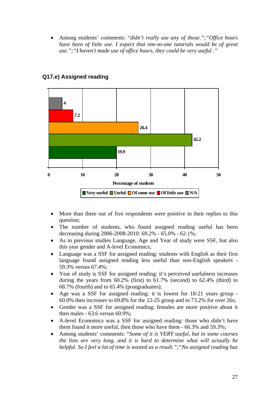• Among students' comments: "*didn't really use any of those.";"Office hours have been of little use. I expect that one-to-one tutorials would be of great use.";"I haven't made use of office hours, they could be very useful* .*"* 



# **Q17.e) Assigned reading**

- More than three out of five respondents were positive in their replies to this question;
- The number of students, who found assigned reading useful has been decreasing during 2006-2008-2010: 69.2% - 65.0% - 62.1%;
- As in previous studies Language, Age and Year of study were SSF, but also this year gender and A-level Economics;
- Language was a SSF for assigned reading: students with English as their first language found assigned reading less useful than non-English speakers - 59.3% versus 67.4%;
- Year of study is SSF for assigned reading: it's perceived usefulness increases during the years from 60.2% (first) to 61.7% (second) to 62.4% (third) to 68.7% (fourth) and to 65.4% (postgraduates);
- Age was a SSF for assigned reading: it is lowest for 18-21 years group 60.0% then increases to 69.8% for the 22-25 group and to 73.2% for over 26s;
- Gender was a SSF for assigned reading: females are more positive about it then males - 63.6 versus 60.9%;
- A-level Economics was a SSF for assigned reading: those who didn't have them found it more useful, then those who have them - 66.3% and 59.3%;
- Among students' comments: "*Some of it is VERY useful, but in some courses the lists are very long, and it is hard to determine what will actually be helpful. So I feel a lot of time is wasted as a result.";"No assigned reading has*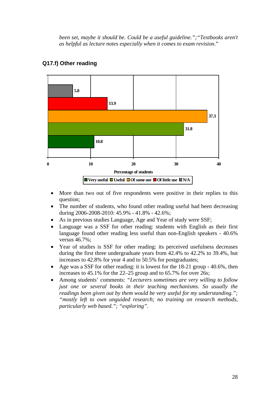*been set, maybe it should be. Could be a useful guideline.";"Textbooks aren't as helpful as lecture notes especially when it comes to exam revision*."



# **Q17.f) Other reading**

- More than two out of five respondents were positive in their replies to this question;
- The number of students, who found other reading useful had been decreasing during 2006-2008-2010: 45.9% - 41.8% - 42.6%;
- As in previous studies Language, Age and Year of study were SSF;
- Language was a SSF for other reading: students with English as their first language found other reading less useful than non-English speakers - 40.6% versus 46.7%;
- Year of studies is SSF for other reading: its perceived usefulness decreases during the first three undergraduate years from 42.4% to 42.2% to 39.4%, but increases to 42.8% for year 4 and to 50.5% for postgraduates;
- Age was a SSF for other reading: it is lowest for the 18-21 group 40.6%, then increases to 45.1% for the 22–25 group and to 65.7% for over 26s;
- Among students' comments: *"Lecturers sometimes are very willing to follow just one or several books in their teaching mechanisms. So usually the readings been given out by them would be very useful for my understanding."; "mostly left to own unguided research; no training on research methods, particularly web based."; "exploring".*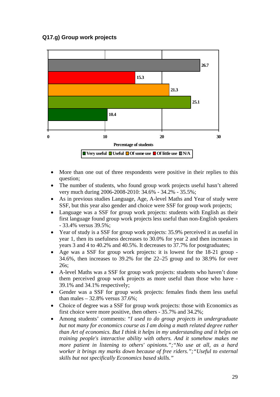# **Q17.g) Group work projects**



- More than one out of three respondents were positive in their replies to this question;
- The number of students, who found group work projects useful hasn't altered very much during 2006-2008-2010: 34.6% - 34.2% - 35.5%;
- As in previous studies Language, Age, A-level Maths and Year of study were SSF, but this year also gender and choice were SSF for group work projects;
- Language was a SSF for group work projects: students with English as their first language found group work projects less useful than non-English speakers - 33.4% versus 39.5%;
- Year of study is a SSF for group work projects: 35.9% perceived it as useful in year 1, then its usefulness decreases to 30.0% for year 2 and then increases in years 3 and 4 to 40.2% and 40.5%. It decreases to 37.7% for postgraduates;
- Age was a SSF for group work projects: it is lowest for the 18-21 group 34.6%, then increases to 39.2% for the 22–25 group and to 38.9% for over 26s;
- A-level Maths was a SSF for group work projects: students who haven't done them perceived group work projects as more useful than those who have - 39.1% and 34.1% respectively;
- Gender was a SSF for group work projects: females finds them less useful than males –  $32.8\%$  versus  $37.6\%$ ;
- Choice of degree was a SSF for group work projects: those with Economics as first choice were more positive, then others - 35.7% and 34.2%;
- Among students' comments: "*I used to do group projects in undergraduate but not many for economics course as I am doing a math related degree rather than Art of economics. But I think it helps in my understanding and it helps on training people's interactive ability with others. And it somehow makes me more patient in listening to others' opinions.";"No use at all, as a hard worker it brings my marks down because of free riders.";"Useful to external skills but not specifically Economics based skills."*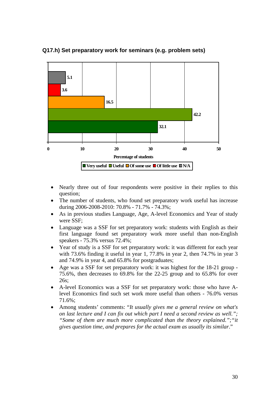

# **Q17.h) Set preparatory work for seminars (e.g. problem sets)**

- Nearly three out of four respondents were positive in their replies to this question;
- The number of students, who found set preparatory work useful has increase during 2006-2008-2010: 70.8% - 71.7% - 74.3%;
- As in previous studies Language, Age, A-level Economics and Year of study were SSF;
- Language was a SSF for set preparatory work: students with English as their first language found set preparatory work more useful than non-English speakers - 75.3% versus 72.4%;
- Year of study is a SSF for set preparatory work: it was different for each year with 73.6% finding it useful in year 1, 77.8% in year 2, then 74.7% in year 3 and 74.9% in year 4, and 65.8% for postgraduates;
- Age was a SSF for set preparatory work: it was highest for the 18-21 group 75.6%, then decreases to 69.8% for the 22-25 group and to 65.8% for over 26s;
- A-level Economics was a SSF for set preparatory work: those who have Alevel Economics find such set work more useful than others - 76.0% versus 71.6%;
- Among students' comments: "*It usually gives me a general review on what's on last lecture and I can fix out which part I need a second review as well."; "Some of them are much more complicated than the theory explained.";"it gives question time, and prepares for the actual exam as usually its similar*."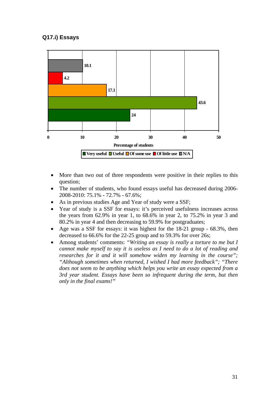# **Q17.i) Essays**



- More than two out of three respondents were positive in their replies to this question;
- The number of students, who found essays useful has decreased during 2006-2008-2010: 75.1% - 72.7% - 67.6%;
- As in previous studies Age and Year of study were a SSF;
- Year of study is a SSF for essays: it's perceived usefulness increases across the years from 62.9% in year 1, to 68.6% in year 2, to 75.2% in year 3 and 80.2% in year 4 and then decreasing to 59.9% for postgraduates;
- Age was a SSF for essays: it was highest for the 18-21 group 68.3%, then decreased to 66.6% for the 22-25 group and to 59.3% for over 26s;
- Among students' comments: *"Writing an essay is really a torture to me but I cannot make myself to say it is useless as I need to do a lot of reading and researches for it and it will somehow widen my learning in the course"; "Although sometimes when returned, I wished I had more feedback"; "There does not seem to be anything which helps you write an essay expected from a 3rd year student. Essays have been so infrequent during the term, but then only in the final exams!"*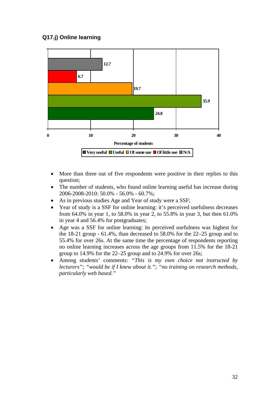# **Q17.j) Online learning**



- More than three out of five respondents were positive in their replies to this question;
- The number of students, who found online learning useful has increase during 2006-2008-2010: 50.0% - 56.0% - 60.7%;
- As in previous studies Age and Year of study were a SSF;
- Year of study is a SSF for online learning: it's perceived usefulness decreases from 64.0% in year 1, to 58.0% in year 2, to 55.8% in year 3, but then 61.0% in year 4 and 56.4% for postgraduates;
- Age was a SSF for online learning: its perceived usefulness was highest for the 18-21 group - 61.4%, than decreased to 58.0% for the 22–25 group and to 55.4% for over 26s. At the same time the percentage of respondents reporting no online learning increases across the age groups from 11.5% for the 18-21 group to 14.9% for the 22–25 group and to 24.9% for over 26s;
- Among students' comments: *"This is my own choice not instructed by lecturers"; "would be if I knew about it."; "no training on research methods, particularly web based."*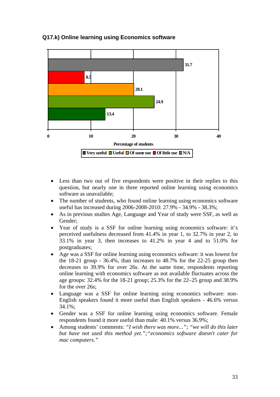

# **Q17.k) Online learning using Economics software**

- Less than two out of five respondents were positive in their replies to this question, but nearly one in three reported online learning using economics software as unavailable;
- The number of students, who found online learning using economics software useful has increased during 2006-2008-2010: 27.9% - 34.9% - 38.3%;
- As in previous studies Age, Language and Year of study were SSF, as well as Gender;
- Year of study is a SSF for online learning using economics software: it's perceived usefulness decreased from 41.4% in year 1, to 32.7% in year 2, to 33.1% in year 3, then increases to 41.2% in year 4 and to 51.0% for postgraduates;
- Age was a SSF for online learning using economics software: it was lowest for the 18-21 group - 36.4%, than increases to 48.7% for the 22-25 group then decreases to 39.9% for over 26s. At the same time, respondents reporting online learning with economics software as not available fluctuates across the age groups: 32.4% for the 18-21 group; 25.3% for the 22–25 group and 38.9% for the over 26s;
- Language was a SSF for online learning using economics software: non-English speakers found it more useful than English speakers - 46.6% versus 34.1%;
- Gender was a SSF for online learning using economics software. Female respondents found it more useful than male: 40.1% versus 36.9%;
- Among students' comments: *"I wish there was more..."; "we will do this later but have not used this method yet.";"economics software doesn't cater for mac computers."*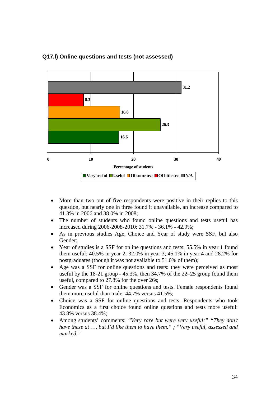

# **Q17.l) Online questions and tests (not assessed)**

- More than two out of five respondents were positive in their replies to this question, but nearly one in three found it unavailable, an increase compared to 41.3% in 2006 and 38.0% in 2008;
- The number of students who found online questions and tests useful has increased during 2006-2008-2010: 31.7% - 36.1% - 42.9%;
- As in previous studies Age, Choice and Year of study were SSF, but also Gender;
- Year of studies is a SSF for online questions and tests: 55.5% in year 1 found them useful; 40.5% in year 2; 32.0% in year 3; 45.1% in year 4 and 28.2% for postgraduates (though it was not available to 51.0% of them);
- Age was a SSF for online questions and tests: they were perceived as most useful by the 18-21 group - 45.3%, then 34.7% of the 22–25 group found them useful, compared to 27.8% for the over 26s;
- Gender was a SSF for online questions and tests. Female respondents found them more useful than male: 44.7% versus 41.5%;
- Choice was a SSF for online questions and tests. Respondents who took Economics as a first choice found online questions and tests more useful: 43.8% versus 38.4%;
- Among students' comments: *"Very rare but were very useful;" "They don't have these at …, but I'd like them to have them." ; "Very useful, assessed and marked."*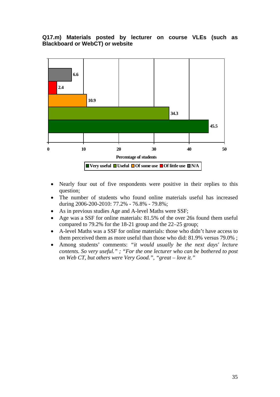# **Q17.m) Materials posted by lecturer on course VLEs (such as Blackboard or WebCT) or website**



- Nearly four out of five respondents were positive in their replies to this question;
- The number of students who found online materials useful has increased during 2006-200-2010: 77.2% - 76.8% - 79.8%;
- As in previous studies Age and A-level Maths were SSF;
- Age was a SSF for online materials: 81.5% of the over 26s found them useful compared to 79.2% for the 18-21 group and the 22–25 group;
- A-level Maths was a SSF for online materials: those who didn't have access to them perceived them as more useful than those who did: 81.9% versus 79.0% ;
- Among students' comments: *"it would usually be the next days' lecture contents. So very useful." ; "For the one lecturer who can be bothered to post on Web CT, but others were Very Good.", "great – love it."*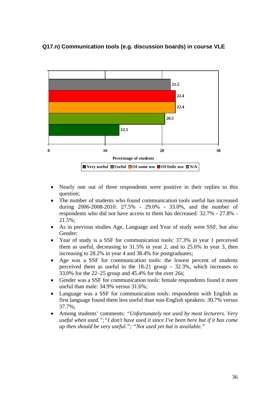# **Q17.n) Communication tools (e.g. discussion boards) in course VLE**



- Nearly one out of three respondents were positive in their replies to this question;
- The number of students who found communication tools useful has increased during 2006-2008-2010: 27.5% - 29.0% - 33.0%, and the number of respondents who did not have access to them has decreased: 32.7% - 27.8% - 21.5%;
- As in previous studies Age, Language and Year of study were SSF, but also Gender;
- Year of study is a SSF for communication tools: 37.3% in year 1 perceived them as useful, decreasing to 31.5% in year 2, and to 25.6% in year 3, then increasing to 28.2% in year 4 and 38.4% for postgraduates;
- Age was a SSF for communication tools: the lowest percent of students perceived them as useful in the 18-21 group – 32.3%, which increases to 33.0% for the 22–25 group and 45.4% for the over 26s;
- Gender was a SSF for communication tools: female respondents found it more useful than male: 34.9% versus 31.6%;
- Language was a SSF for communication tools: respondents with English as first language found them less useful than non-English speakers: 30.7% versus 37.7%;
- Among students' comments: *"Unfortunately not used by most lecturers. Very useful when used.";"I don't have used it since I've been here but if it has come up then should be very useful."; "Not used yet but is available."*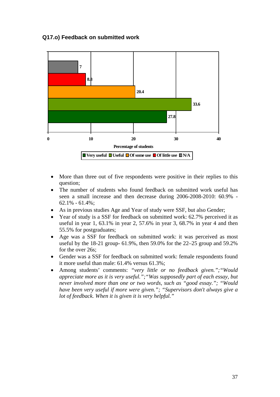### **Q17.o) Feedback on submitted work**



- More than three out of five respondents were positive in their replies to this question;
- The number of students who found feedback on submitted work useful has seen a small increase and then decrease during 2006-2008-2010: 60.9% - 62.1% - 61.4%;
- As in previous studies Age and Year of study were SSF, but also Gender;
- Year of study is a SSF for feedback on submitted work: 62.7% perceived it as useful in year 1, 63.1% in year 2, 57.6% in year 3, 68.7% in year 4 and then 55.5% for postgraduates;
- Age was a SSF for feedback on submitted work: it was perceived as most useful by the 18-21 group- 61.9%, then 59.0% for the 22–25 group and 59.2% for the over 26s;
- Gender was a SSF for feedback on submitted work: female respondents found it more useful than male: 61.4% versus 61.3%;
- Among students' comments: *"very little or no feedback given.";"Would appreciate more as it is very useful.";"Was supposedly part of each essay, but never involved more than one or two words, such as "good essay."; "Would have been very useful if more were given."; "Supervisors don't always give a lot of feedback. When it is given it is very helpful."*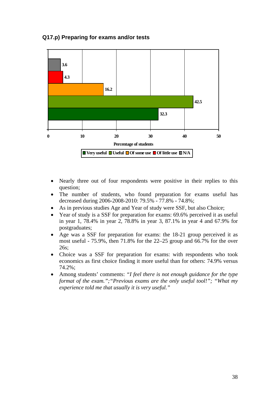## **Q17.p) Preparing for exams and/or tests**



- Nearly three out of four respondents were positive in their replies to this question;
- The number of students, who found preparation for exams useful has decreased during 2006-2008-2010: 79.5% - 77.8% - 74.8%;
- As in previous studies Age and Year of study were SSF, but also Choice;
- Year of study is a SSF for preparation for exams: 69.6% perceived it as useful in year 1, 78.4% in year 2, 78.8% in year 3, 87.1% in year 4 and 67.9% for postgraduates;
- Age was a SSF for preparation for exams: the 18-21 group perceived it as most useful - 75.9%, then 71.8% for the 22–25 group and 66.7% for the over 26s;
- Choice was a SSF for preparation for exams: with respondents who took economics as first choice finding it more useful than for others: 74.9% versus 74.2%;
- Among students' comments: *"I feel there is not enough guidance for the type format of the exam.";"Previous exams are the only useful tool!"; "What my experience told me that usually it is very useful."*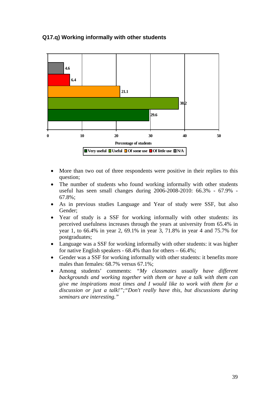## **Q17.q) Working informally with other students**



- More than two out of three respondents were positive in their replies to this question;
- The number of students who found working informally with other students useful has seen small changes during 2006-2008-2010: 66.3% - 67.9% - 67.8%;
- As in previous studies Language and Year of study were SSF, but also Gender;
- Year of study is a SSF for working informally with other students: its perceived usefulness increases through the years at university from 65.4% in year 1, to 66.4% in year 2, 69.1% in year 3, 71.8% in year 4 and 75.7% for postgraduates;
- Language was a SSF for working informally with other students: it was higher for native English speakers -  $68.4\%$  than for others  $-66.4\%$ ;
- Gender was a SSF for working informally with other students: it benefits more males than females: 68.7% versus 67.1%;
- Among students' comments: *"My classmates usually have different backgrounds and working together with them or have a talk with them can give me inspirations most times and I would like to work with them for a discussion or just a talk!";"Don't really have this, but discussions during seminars are interesting."*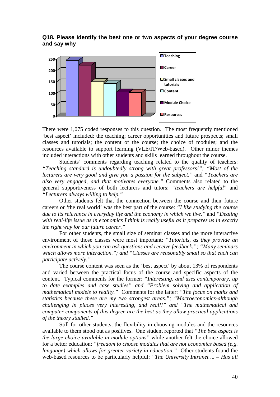#### **Q18. Please identify the best one or two aspects of your degree course and say why**



There were 1,075 coded responses to this question. The most frequently mentioned 'best aspect' included: the teaching; career opportunities and future prospects; small classes and tutorials; the content of the course; the choice of modules; and the resources available to support learning (VLE/IT/Web-based). Other minor themes included interactions with other students and skills learned throughout the course.

Students' comments regarding teaching related to the quality of teachers: *"Teaching standard is undoubtedly strong with great professors!"; "Most of the lecturers are very good and give you a passion for the subject."* and *"Teachers are also very engaged, and that motivates everyone."* Comments also related to the general supportiveness of both lecturers and tutors: *"teachers are helpful*" and *"Lecturers always willing to help."*

Other students felt that the connection between the course and their future careers or 'the real world' was the best part of the course: *"I like studying the course due to its relevance in everyday life and the economy in which we live."* and *"Dealing with real-life issue as in economics I think is really useful as it prepares us in exactly the right way for our future career."* 

For other students, the small size of seminar classes and the more interactive environment of those classes were most important: *"Tutorials, as they provide an environment in which you can ask questions and receive feedback."; "Many seminars which allows more interaction."; and "Classes are reasonably small so that each can participate actively."* 

The course content was seen as the 'best aspect' by about 13% of respondents and varied between the practical focus of the course and specific aspects of the content. Typical comments for the former: *"Interesting, and uses contemporary, up to date examples and case studies" and "Problem solving and application of mathematical models to reality."* Comments for the latter: *"The focus on maths and statistics because these are my two strongest areas."; "Macroeconomics-although challenging in places very interesting, and real!!" and "The mathematical and computer components of this degree are the best as they allow practical applications of the theory studied."* 

Still for other students, the flexibility in choosing modules and the resources available to them stood out as positives. One student reported that *"The best aspect is the large choice available in module options"* while another felt the choice allowed for a better education: *"freedom to choose modules that are not economics based (e.g. language) which allows for greater variety in education."* Other students found the web-based resources to be particularly helpful: *"The University Intranet ... – Has all*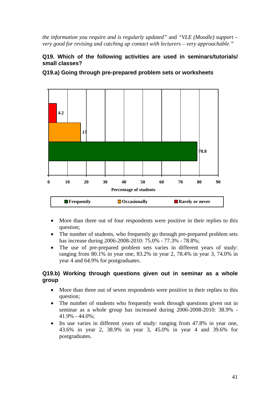*the information you require and is regularly updated"* and *"VLE (Moodle) support – very good for revising and catching up contact with lecturers – very approachable."* 

# **Q19. Which of the following activities are used in seminars/tutorials/ small classes?**

**Q19.a) Going through pre-prepared problem sets or worksheets** 



- More than three out of four respondents were positive in their replies to this question;
- The number of students, who frequently go through pre-prepared problem sets has increase during 2006-2008-2010: 75.0% - 77.3% - 78.8%;
- The use of pre-prepared problem sets varies in different years of study: ranging from 80.1% in year one, 83.2% in year 2, 78.4% in year 3, 74.0% in year 4 and 64.9% for postgraduates.

## **Q19.b) Working through questions given out in seminar as a whole group**

- More than three out of seven respondents were positive in their replies to this question;
- The number of students who frequently work through questions given out in seminar as a whole group has increased during 2006-2008-2010: 38.9% - 41.9% - 44.0%;
- Its use varies in different years of study: ranging from 47.8% in year one, 43.6% in year 2, 38.9% in year 3, 45.0% in year 4 and 39.6% for postgraduates.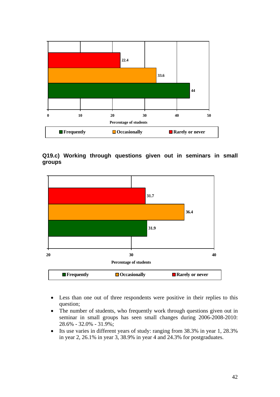

**Q19.c) Working through questions given out in seminars in small groups** 



- Less than one out of three respondents were positive in their replies to this question;
- The number of students, who frequently work through questions given out in seminar in small groups has seen small changes during 2006-2008-2010: 28.6% - 32.0% - 31.9%;
- Its use varies in different years of study: ranging from 38.3% in year 1, 28.3% in year 2, 26.1% in year 3, 38.9% in year 4 and 24.3% for postgraduates.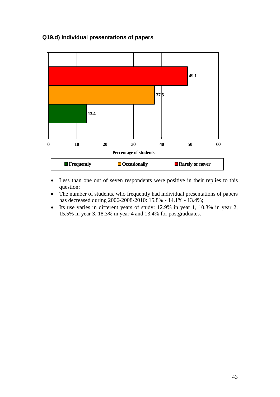# **Q19.d) Individual presentations of papers**



- Less than one out of seven respondents were positive in their replies to this question;
- The number of students, who frequently had individual presentations of papers has decreased during 2006-2008-2010: 15.8% - 14.1% - 13.4%;
- Its use varies in different years of study: 12.9% in year 1, 10.3% in year 2, 15.5% in year 3, 18.3% in year 4 and 13.4% for postgraduates.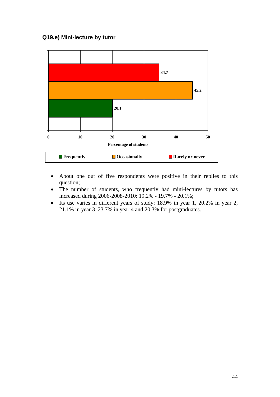# **Q19.e) Mini-lecture by tutor**



- About one out of five respondents were positive in their replies to this question;
- The number of students, who frequently had mini-lectures by tutors has increased during 2006-2008-2010: 19.2% - 19.7% - 20.1%;
- Its use varies in different years of study: 18.9% in year 1, 20.2% in year 2, 21.1% in year 3, 23.7% in year 4 and 20.3% for postgraduates.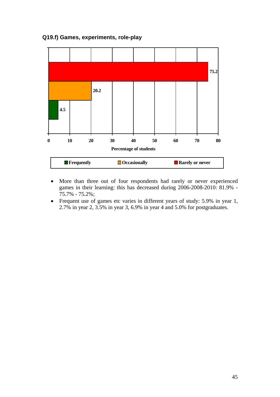**Q19.f) Games, experiments, role-play** 



- More than three out of four respondents had rarely or never experienced games in their learning: this has decreased during 2006-2008-2010: 81.9% - 75.7% - 75.2%;
- Frequent use of games etc varies in different years of study: 5.9% in year 1, 2.7% in year 2, 3.5% in year 3, 6.9% in year 4 and 5.0% for postgraduates.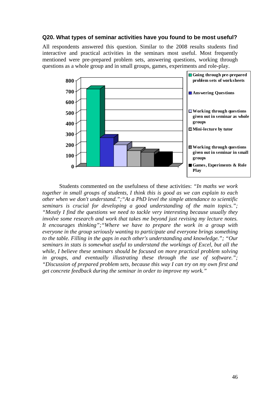#### **Q20. What types of seminar activities have you found to be most useful?**

All respondents answered this question. Similar to the 2008 results students find interactive and practical activities in the seminars most useful. Most frequently mentioned were pre-prepared problem sets, answering questions, working through questions as a whole group and in small groups, games, experiments and role-play.



 Students commented on the usefulness of these activities: *"In maths we work together in small groups of students, I think this is good as we can explain to each other when we don't understand.";"At a PhD level the simple attendance to scientific seminars is crucial for developing a good understanding of the main topics."; "Mostly I find the questions we need to tackle very interesting because usually they involve some research and work that takes me beyond just revising my lecture notes. It encourages thinking";"Where we have to prepare the work in a group with everyone in the group seriously wanting to participate and everyone brings something to the table. Filling in the gaps in each other's understanding and knowledge."; "Our seminars in stats is somewhat useful to understand the workings of Excel, but all the while, I believe these seminars should be focused on more practical problem solving in groups, and eventually illustrating these through the use of software."; "Discussion of prepared problem sets, because this way I can try on my own first and get concrete feedback during the seminar in order to improve my work."*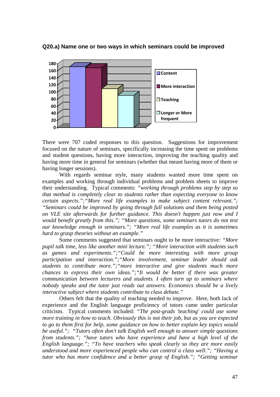

**Q20.a) Name one or two ways in which seminars could be improved** 

There were 707 coded responses to this question. Suggestions for improvement focused on the nature of seminars, specifically increasing the time spent on problems and student questions, having more interaction, improving the teaching quality and having more time in general for seminars (whether that meant having more of them or having longer sessions).

With regards seminar style, many students wanted more time spent on examples and working through individual problems and problem sheets to improve their understanding. Typical comments: *"working through problems step by step so that method is completely clear to students rather than expecting everyone to know certain aspects.";"More real life examples to make subject content relevant."; "Seminars could be improved by going through full solutions and them being posted on VLE site afterwards for further guidance. This doesn't happen just now and I would benefit greatly from this."; "More questions, some seminars tutors do not test our knowledge enough in seminars."; "More real life examples as it is sometimes hard to grasp theories without an example."* 

Some comments suggested that seminars ought to be more interactive*: "More pupil talk time, less like another mini lecture."; "More interaction with students such as games and experiments.";"Could be more interesting with more group participation and interaction.";"More involvement, seminar leader should ask students to contribute more.";"more interactive and give students much more chances to express their own ideas.";"It would be better if there was greater communication between lecturers and students. I often turn up to seminars where nobody speaks and the tutor just reads out answers. Economics should be a lively interactive subject where students contribute to class debate."*

Others felt that the quality of teaching needed to improve. Here, both lack of experience and the English language proficiency of tutors came under particular criticism. Typical comments included: *"The post-grads 'teaching' could use some more training in how to teach. Obviously this is not their job, but as you are expected to go to them first for help, some guidance on how to better explain key topics would be useful."; "Tutors often don't talk English well enough to answer simple questions from students."; "have tutors who have experience and have a high level of the English language."; "To have teachers who speak clearly so they are more easily understood and more experienced people who can control a class well."; "Having a tutor who has more confidence and a better grasp of English."; "Getting seminar*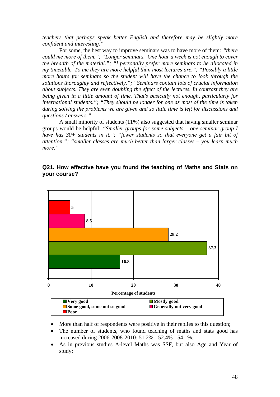*teachers that perhaps speak better English and therefore may be slightly more confident and interesting."* 

For some, the best way to improve seminars was to have more of them*: "there could me more of them."; "Longer seminars. One hour a week is not enough to cover the breadth of the material."; "I personally prefer more seminars to be allocated in my timetable. To me they are more helpful than most lectures are."; "Possibly a little more hours for seminars so the student will have the chance to look through the solutions thoroughly and reflectively."; "Seminars contain lots of crucial information about subjects. They are even doubling the effect of the lectures. In contrast they are being given in a little amount of time. That's basically not enough, particularly for international students."; "They should be longer for one as most of the time is taken during solving the problems we are given and so little time is left for discussions and questions / answers."* 

A small minority of students (11%) also suggested that having smaller seminar groups would be helpful: *"Smaller groups for some subjects – one seminar group I have has 30+ students in it."; "fewer students so that everyone get a fair bit of attention."; "smaller classes are much better than larger classes – you learn much more."* 



## **Q21. How effective have you found the teaching of Maths and Stats on your course?**

- More than half of respondents were positive in their replies to this question;
- The number of students, who found teaching of maths and stats good has increased during 2006-2008-2010: 51.2% - 52.4% - 54.1%;
- As in previous studies A-level Maths was SSF, but also Age and Year of study;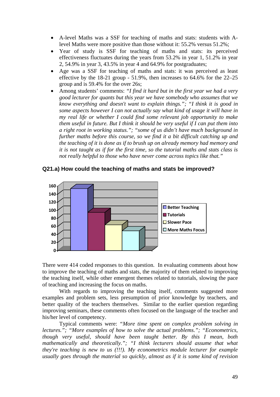- A-level Maths was a SSF for teaching of maths and stats: students with Alevel Maths were more positive than those without it: 55.2% versus 51.2%;
- Year of study is SSF for teaching of maths and stats: its perceived effectiveness fluctuates during the years from 53.2% in year 1, 51.2% in year 2, 54.9% in year 3, 43.5% in year 4 and 64.9% for postgraduates;
- Age was a SSF for teaching of maths and stats: it was perceived as least effective by the 18-21 group - 51.9%, then increases to 64.6% for the 22–25 group and is 59.4% for the over 26s;
- Among students' comments: *"I find it hard but in the first year we had a very good lecturer for quants but this year we have somebody who assumes that we know everything and doesn't want to explain things."; "I think it is good in some aspects however I can not actually say what kind of usage it will have in my real life or whether I could find some relevant job opportunity to make them useful in future. But I think it should be very useful if I can put them into a right root in working status."; "some of us didn't have much background in further maths before this course, so we find it a bit difficult catching up and the teaching of it is done as if to brush up on already memory had memory and it is not taught as if for the first time, so the tutorial maths and stats class is not really helpful to those who have never come across topics like that."*



#### **Q21.a) How could the teaching of maths and stats be improved?**

There were 414 coded responses to this question. In evaluating comments about how to improve the teaching of maths and stats, the majority of them related to improving the teaching itself, while other emergent themes related to tutorials, slowing the pace of teaching and increasing the focus on maths.

With regards to improving the teaching itself, comments suggested more examples and problem sets, less presumption of prior knowledge by teachers, and better quality of the teachers themselves. Similar to the earlier question regarding improving seminars, these comments often focused on the language of the teacher and his/her level of competency.

Typical comments were: *"More time spent on complex problem solving in lectures."; "More examples of how to solve the actual problems."; "Econometrics, though very useful, should have been taught better. By this I mean, both mathematically and theoretically."; "I think lecturers should assume that what they're teaching is new to us (!!!). My econometrics module lecturer for example usually goes through the material so quickly, almost as if it is some kind of revision*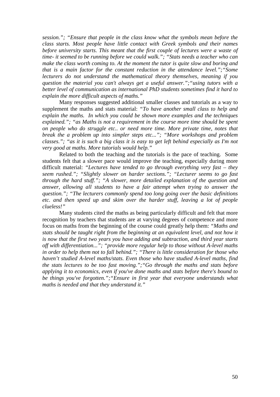*session."; "Ensure that people in the class know what the symbols mean before the class starts. Most people have little contact with Greek symbols and their names before university starts. This meant that the first couple of lectures were a waste of time- it seemed to be running before we could walk."; "Stats needs a teacher who can make the class worth coming to. At the moment the tutor is quite slow and boring and that is a main factor for the constant reduction in the attendance level.";"Some lecturers do not understand the mathematical theory themselves, meaning if you question the material you can't always get a useful answer.";"using tutors with a better level of communication as international PhD students sometimes find it hard to explain the more difficult aspects of maths."* 

Many responses suggested additional smaller classes and tutorials as a way to supplement the maths and stats material: *"To have another small class to help and explain the maths. In which you could be shown more examples and the techniques explained."; "as Maths is not a requirement in the course more time should be spent on people who do struggle etc.. or need more time. More private time, notes that break the a problem up into simpler steps etc..."; "More workshops and problem classes."; "as it is such a big class it is easy to get left behind especially as I'm not very good at maths. More tutorials would help."* 

Related to both the teaching and the tutorials is the pace of teaching. Some students felt that a slower pace would improve the teaching, especially during more difficult material: *"Lectures have tended to go through everything very fast – they seem rushed."; "Slightly slower on harder sections."; "Lecturer seems to go fast through the hard stuff."; "A slower, more detailed explanation of the question and answer, allowing all students to have a fair attempt when trying to answer the question."; "The lecturers commonly spend too long going over the basic definitions etc. and then speed up and skim over the harder stuff, leaving a lot of people clueless!"*

Many students cited the maths as being particularly difficult and felt that more recognition by teachers that students are at varying degrees of competence and more focus on maths from the beginning of the course could greatly help them: *"Maths and stats should be taught right from the beginning at an equivalent level, and not how it is now that the first two years you have adding and subtraction, and third year starts off with differentiation..."; "provide more regular help to those without A-level maths in order to help them not to fall behind."; "There is little consideration for those who haven't studied A-level maths/stats. Even those who have studied A-level maths, find the stats lectures to be too fast moving.";"Go through the maths and stats before applying it to economics, even if you've done maths and stats before there's bound to be things you've forgotten.";"Ensure in first year that everyone understands what maths is needed and that they understand it."*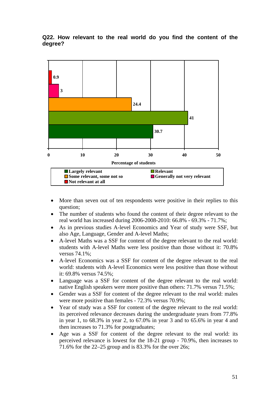#### **Q22. How relevant to the real world do you find the content of the degree?**



- More than seven out of ten respondents were positive in their replies to this question;
- The number of students who found the content of their degree relevant to the real world has increased during 2006-2008-2010: 66.8% - 69.3% - 71.7%;
- As in previous studies A-level Economics and Year of study were SSF, but also Age, Language, Gender and A-level Maths;
- A-level Maths was a SSF for content of the degree relevant to the real world: students with A-level Maths were less positive than those without it: 70.8% versus 74.1%;
- A-level Economics was a SSF for content of the degree relevant to the real world: students with A-level Economics were less positive than those without it: 69.8% versus 74.5%;
- Language was a SSF for content of the degree relevant to the real world: native English speakers were more positive than others: 71.7% versus 71.5%;
- Gender was a SSF for content of the degree relevant to the real world: males were more positive than females - 72.3% versus 70.9%;
- Year of study was a SSF for content of the degree relevant to the real world: its perceived relevance decreases during the undergraduate years from 77.8% in year 1, to 68.3% in year 2, to 67.0% in year 3 and to 65.6% in year 4 and then increases to 71.3% for postgraduates;
- Age was a SSF for content of the degree relevant to the real world: its perceived relevance is lowest for the 18-21 group - 70.9%, then increases to 71.6% for the 22–25 group and is 83.3% for the over 26s;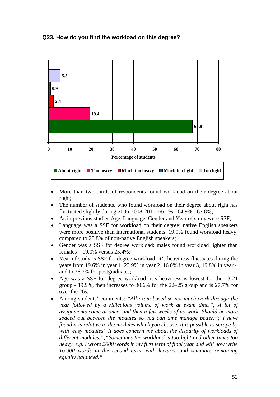### **Q23. How do you find the workload on this degree?**



- More than two thirds of respondents found workload on their degree about right;
- The number of students, who found workload on their degree about right has fluctuated slightly during 2006-2008-2010: 66.1% - 64.9% - 67.8%;
- As in previous studies Age, Language, Gender and Year of study were SSF;
- Language was a SSF for workload on their degree: native English speakers were more positive than international students: 19.9% found workload heavy, compared to 25.8% of non-native English speakers;
- Gender was a SSF for degree workload: males found workload lighter than females – 19.0% versus 25.4%;
- Year of study is SSF for degree workload: it's heaviness fluctuates during the years from 19.6% in year 1, 23.9% in year 2, 16.0% in year 3, 19.8% in year 4 and to 36.7% for postgraduates;
- Age was a SSF for degree workload: it's heaviness is lowest for the 18-21 group - 19.9%, then increases to 30.6% for the 22–25 group and is 27.7% for over the 26s;
- Among students' comments: *"All exam based so not much work through the year followed by a ridiculous volume of work at exam time.";"A lot of assignments come at once, and then a few weeks of no work. Should be more spaced out between the modules so you can time manage better.";"I have found it is relative to the modules which you choose. It is possible to scrape by with 'easy modules'. It does concern me about the disparity of workloads of different modules.";"Sometimes the workload is too light and other times too heavy. e.g. I wrote 2000 words in my first term of final year and will now write 16,000 words in the second term, with lectures and seminars remaining equally balanced."*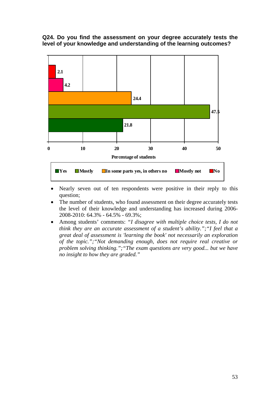#### **Q24. Do you find the assessment on your degree accurately tests the level of your knowledge and understanding of the learning outcomes?**



- Nearly seven out of ten respondents were positive in their reply to this question;
- The number of students, who found assessment on their degree accurately tests the level of their knowledge and understanding has increased during 2006- 2008-2010: 64.3% - 64.5% - 69.3%;
- Among students' comments: *"I disagree with multiple choice tests, I do not think they are an accurate assessment of a student's ability.";"I feel that a great deal of assessment is 'learning the book' not necessarily an exploration of the topic.";"Not demanding enough, does not require real creative or problem solving thinking.";"The exam questions are very good... but we have no insight to how they are graded."*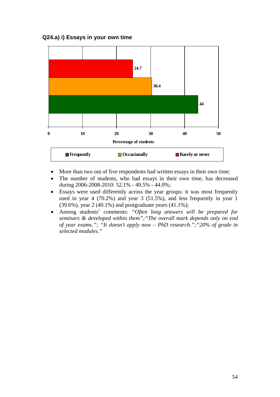



- More than two out of five respondents had written essays in their own time;
- The number of students, who had essays in their own time, has decreased during 2006-2008-2010: 52.1% - 49.5% - 44.0%;
- Essays were used differently across the year groups: it was most frequently used in year 4 (70.2%) and year 3 (51.5%), and less frequently in year 1 (39.6%), year 2 (40.1%) and postgraduate years (41.1%);
- Among students' comments: *"Often long answers will be prepared for seminars & developed within them";"The overall mark depends only on end of year exams."; "It doesn't apply now – PhD research.";"20% of grade in selected modules."*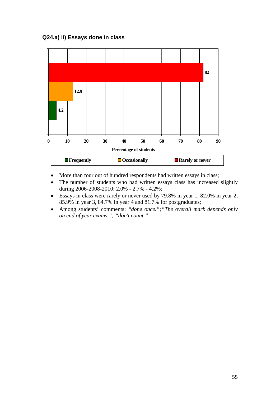

- More than four out of hundred respondents had written essays in class;
- The number of students who had written essays class has increased slightly during 2006-2008-2010: 2.0% - 2.7% - 4.2%;
- Essays in class were rarely or never used by 79.8% in year 1, 82.0% in year 2, 85.9% in year 3, 84.7% in year 4 and 81.7% for postgraduates;
- Among students' comments: *"done once.";"The overall mark depends only on end of year exams."; "don't count."*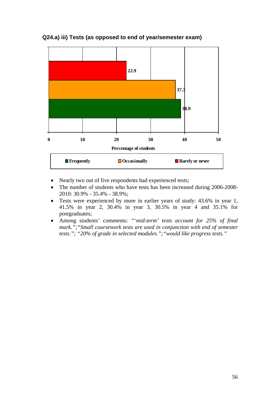

# **Q24.a) iii) Tests (as opposed to end of year/semester exam)**

- Nearly two out of five respondents had experienced tests;
- The number of students who have tests has been increased during 2006-2008-2010: 30.9% - 35.4% - 38.9%;
- Tests were experienced by more in earlier years of study: 43.6% in year 1, 41.5% in year 2, 30.4% in year 3, 30.5% in year 4 and 35.1% for postgraduates;
- Among students' comments: *"*'*mid-term' tests account for 25% of final mark.";"Small coursework tests are used in conjunction with end of semester tests."; "20% of grade in selected modules.";"would like progress tests."*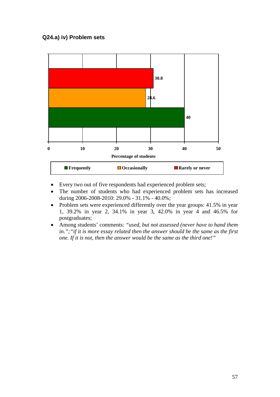# **Q24.a) iv) Problem sets**



- Every two out of five respondents had experienced problem sets;
- The number of students who had experienced problem sets has increased during 2006-2008-2010: 29.0% - 31.1% - 40.0%;
- Problem sets were experienced differently over the year groups: 41.5% in year 1, 39.2% in year 2, 34.1% in year 3, 42.0% in year 4 and 46.5% for postgraduates;
- Among students' comments: *"used, but not assessed (never have to hand them in.";"if it is more essay related then the answer should be the same as the first one. If it is not, then the answer would be the same as the third one!"*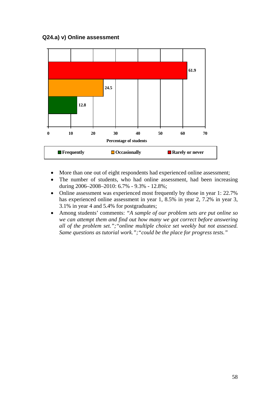## **Q24.a) v) Online assessment**



- More than one out of eight respondents had experienced online assessment;
- The number of students, who had online assessment, had been increasing during 2006–2008–2010: 6.7% - 9.3% - 12.8%;
- Online assessment was experienced most frequently by those in year 1: 22.7% has experienced online assessment in year 1, 8.5% in year 2, 7.2% in year 3, 3.1% in year 4 and 5.4% for postgraduates;
- Among students' comments: *"A sample of our problem sets are put online so we can attempt them and find out how many we got correct before answering all of the problem set.";"online multiple choice set weekly but not assessed. Same questions as tutorial work.";"could be the place for progress tests."*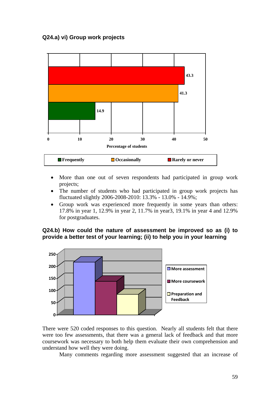# **Q24.a) vi) Group work projects**



- More than one out of seven respondents had participated in group work projects;
- The number of students who had participated in group work projects has fluctuated slightly 2006-2008-2010: 13.3% - 13.0% - 14.9%;
- Group work was experienced more frequently in some years than others: 17.8% in year 1, 12.9% in year 2, 11.7% in year3, 19.1% in year 4 and 12.9% for postgraduates.

## **Q24.b) How could the nature of assessment be improved so as (i) to provide a better test of your learning; (ii) to help you in your learning**



There were 520 coded responses to this question. Nearly all students felt that there were too few assessments, that there was a general lack of feedback and that more coursework was necessary to both help them evaluate their own comprehension and understand how well they were doing.

Many comments regarding more assessment suggested that an increase of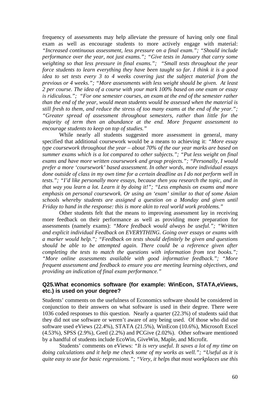frequency of assessments may help alleviate the pressure of having only one final exam as well as encourage students to more actively engage with material: *"Increased continuous assessment, less pressure on a final exam."; "Should include performance over the year, not just exams."; "Give tests in January that carry some weighting so that less pressure in final exams."; "Small tests throughout the year force students to learn everything they have been taught so far. I think it is a good idea to set tests every 3 to 4 weeks covering just the subject material from the previous or 4 weeks."; "More assessments with less weight should be given. At least 2 per course. The idea of a course with your mark 100% based on one exam or essay is ridiculous."; "For one semester courses, an exam at the end of the semester rather than the end of the year, would mean students would be assessed when the material is still fresh to them, and reduce the stress of too many exams at the end of the year."; "Greater spread of assessment throughout semesters, rather than little for the majority of term then an abundance at the end. More frequent assessment to encourage students to keep on top of studies."* 

While nearly all students suggested more assessment in general, many specified that additional coursework would be a means to achieving it: *"More essay type coursework throughout the year – about 70% of the our year marks are based on summer exams which is a lot compared to other subjects."; "Put less weight on final exams and have more written coursework and group projects."; "Personally, I would prefer a more 'coursework' based assessment. In other words, more individual essays done outside of class in my own time for a certain deadline as I do not perform well in tests."; "I'd like personally more essays, because then you research the topic, and in that way you learn a lot. Learn it by doing it!"; "Less emphasis on exams and more emphasis on personal coursework. Or using an 'exam' similar to that of some Asian schools whereby students are assigned a question on a Monday and given until Friday to hand in the response: this is more akin to real world work problems."* 

Other students felt that the means to improving assessment lay in receiving more feedback on their performance as well as providing more preparation for assessments (namely exams): *"More feedback would always be useful."; "Written and explicit individual Feedback on EVERYTHING. Going over essays or exams with a marker would help."; "Feedback on tests should definitely be given and questions should be able to be attempted again. There could be a reference given after completing the tests to match the questions with information from text books."; "More online assessments available with good informative feedback."; "More frequent assessment and feedback to ensure you are meeting learning objectives, and providing an indication of final exam performance."* 

#### **Q25.What economics software (for example: WinEcon, STATA,eViews, etc.) is used on your degree?**

Students' comments on the usefulness of Economics software should be considered in conjunction to their answers on what software is used in their degree. There were 1036 coded responses to this question. Nearly a quarter (22.3%) of students said that they did not use software or weren't aware of any being used. Of those who did use software used eViews (22.4%), STATA (21.5%), WinEcon (10.6%), Microsoft Excel (4.53%), SPSS (2.9%), Gretl (2.2%) and PCGive (2.02%). Other software mentioned by a handful of students include EcoWin, GiveWin, Maple, and Microfit.

Students' comments on eViews: *"It is very useful. It saves a lot of my time on doing calculations and it help me check some of my works as well."; "Useful as it is quite easy to use for basic regressions."; "Very, it helps that most workplaces use this*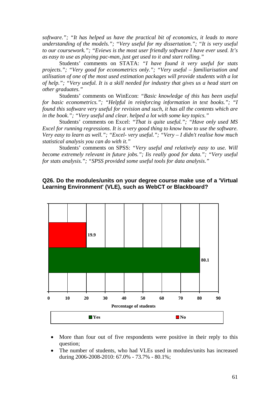*software."; "It has helped us have the practical bit of economics, it leads to more understanding of the models."; "Very useful for my dissertation."; "It is very useful to our coursework."; "Eviews is the most user friendly software I have ever used. It's as easy to use as playing pac-man, just get used to it and start rolling."*

Students' comments on STATA: *"I have found it very useful for stats projects."; "Very good for econometrics only."; "Very useful – familiarisation and utilisation of one of the most used estimation packages will provide students with a lot of help."; "Very useful. It is a skill needed for industry that gives us a head start on other graduates."* 

Students' comments on WinEcon: *"Basic knowledge of this has been useful for basic econometrics."; "Helpful in reinforcing information in text books."; "I found this software very useful for revision and such, it has all the contents which are in the book."; "Very useful and clear. helped a lot with some key topics."* 

Students' comments on Excel: *"That is quite useful."; "Have only used MS Excel for running regressions. It is a very good thing to know how to use the software. Very easy to learn as well."; "Excel- very useful."; "Very – I didn't realise how much statistical analysis you can do with it."*

Students' comments on SPSS: *"Very useful and relatively easy to use. Will become extremely relevant in future jobs."; Iis really good for data."; "Very useful for stats analysis."; "SPSS provided some useful tools for data analysis."*

#### **Q26. Do the modules/units on your degree course make use of a 'Virtual Learning Environment' (VLE), such as WebCT or Blackboard?**



- More than four out of five respondents were positive in their reply to this question;
- The number of students, who had VLEs used in modules/units has increased during 2006-2008-2010: 67.0% - 73.7% - 80.1%;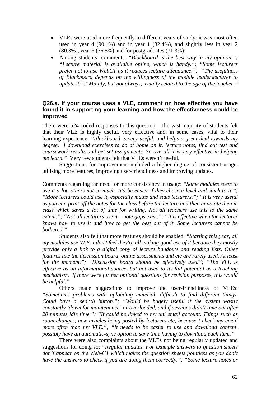- VLEs were used more frequently in different years of study: it was most often used in year 4 (90.1%) and in year 1 (82.4%), and slightly less in year 2 (80.3%), year 3 (76.5%) and for postgraduates (71.3%);
- Among students' comments: *"Blackboard is the best way in my opinion."; "Lecture material is available online, which is handy."; "Some lecturers prefer not to use WebCT as it reduces lecture attendance."; "The usefulness of Blackboard depends on the willingness of the module leader\lecturer to update it.";"Mainly, but not always, usually related to the age of the teacher."*

#### **Q26.a. If your course uses a VLE, comment on how effective you have found it in supporting your learning and how the effectiveness could be improved**

There were 524 coded responses to this question. The vast majority of students felt that their VLE is highly useful, very effective and, in some cases, vital to their learning experience: *"Blackboard is very useful, and helps a great deal towards my degree. I download exercises to do at home on it, lecture notes, find out test and coursework results and get set assignments. So overall it is very effective in helping me learn."* Very few students felt that VLEs weren't useful.

Suggestions for improvement included a higher degree of consistent usage, utilising more features, improving user-friendliness and improving updates.

Comments regarding the need for more consistency in usage: *"Some modules seem to use it a lot, others not so much. It'd be easier if they chose a level and stuck to it."; "More lecturers could use it, especially maths and stats lecturers."; "It is very useful as you can print off the notes for the class before the lecture and then annotate then in class which saves a lot of time for writing. Not all teachers use this to the same extent."; "Not all lecturers use it – note gaps exist."; "It is effective when the lecturer knows how to use it and how to get the best out of it. Some lecturers cannot be bothered."* 

Students also felt that more features should be enabled: *"Starting this year, all my modules use VLE. I don't feel they're all making good use of it because they mostly provide only a link to a digital copy of lecture handouts and reading lists. Other features like the discussion board, online assessments and etc are rarely used. At least for the moment."; "Discussion board should be effectively used"; "The VLE is effective as an informational source, but not used to its full potential as a teaching mechanism. If there were further optional questions for revision purposes, this would be helpful."* 

Others made suggestions to improve the user-friendliness of VLEs: *"Sometimes problems with uploading material, difficult to find different things. Could have a search button."; "Would be hugely useful if the system wasn't constantly 'down for maintenance' or overloaded, and if sessions didn't time out after 20 minutes idle time."; "It could be linked to my uni email account. Things such as room changes, new articles being posted by lecturers etc, because I check my email more often than my VLE."; "It needs to be easier to use and download content, possibly have an automatic-sync option to save time having to download each item."* 

There were also complaints about the VLEs not being regularly updated and suggestions for doing so: *"Regular updates. For example answers to question sheets don't appear on the Web-CT which makes the question sheets pointless as you don't have the answers to check if you are doing them correctly."; "Some lecture notes or*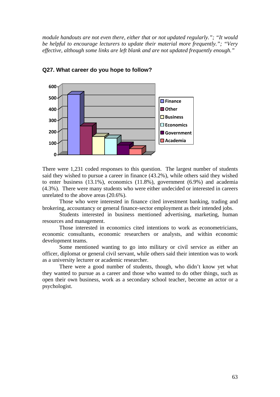*module handouts are not even there, either that or not updated regularly."; "It would be helpful to encourage lecturers to update their material more frequently."; "Very effective, although some links are left blank and are not updated frequently enough."* 



#### **Q27. What career do you hope to follow?**

There were 1,231 coded responses to this question. The largest number of students said they wished to pursue a career in finance (43.2%), while others said they wished to enter business (13.1%), economics (11.8%), government (6.9%) and academia (4.3%). There were many students who were either undecided or interested in careers unrelated to the above areas (20.6%).

Those who were interested in finance cited investment banking, trading and brokering, accountancy or general finance-sector employment as their intended jobs.

Students interested in business mentioned advertising, marketing, human resources and management.

Those interested in economics cited intentions to work as econometricians, economic consultants, economic researchers or analysts, and within economic development teams.

Some mentioned wanting to go into military or civil service as either an officer, diplomat or general civil servant, while others said their intention was to work as a university lecturer or academic researcher.

There were a good number of students, though, who didn't know yet what they wanted to pursue as a career and those who wanted to do other things, such as open their own business, work as a secondary school teacher, become an actor or a psychologist.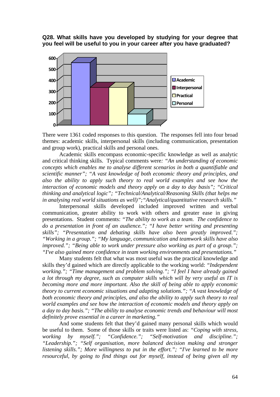**Q28. What skills have you developed by studying for your degree that you feel will be useful to you in your career after you have graduated?** 



There were 1361 coded responses to this question. The responses fell into four broad themes: academic skills, interpersonal skills (including communication, presentation and group work), practical skills and personal ones.

Academic skills encompass economic-specific knowledge as well as analytic and critical thinking skills. Typical comments were*: "An understanding of economic concepts which enables me to analyse different scenarios in both a quantifiable and scientific manner"; "A vast knowledge of both economic theory and principles, and also the ability to apply such theory to real world examples and see how the interaction of economic models and theory apply on a day to day basis"; "Critical thinking and analytical logic"; "Technical/Analytical/Reasoning Skills (that helps me in analysing real world situations as well)";"Analytical/quantitative research skills."* 

Interpersonal skills developed included improved written and verbal communication, greater ability to work with others and greater ease in giving presentations. Student comments: *"The ability to work as a team. The confidence to do a presentation in front of an audience."; "I have better writing and presenting skills"; "Presentation and debating skills have also been greatly improved."; "Working in a group."; "My language, communication and teamwork skills have also improved."; "Being able to work under pressure also working as part of a group."; "I've also gained more confidence in team working environments and presentations."*

Many students felt that what was most useful was the practical knowledge and skills they'd gained which are directly applicable to the working world: *"Independent working."; "Time management and problem solving."; "I feel I have already gained a lot through my degree, such as computer skills which will by very useful as IT is becoming more and more important. Also the skill of being able to apply economic theory to current economic situations and adapting solutions."; "A vast knowledge of both economic theory and principles, and also the ability to apply such theory to real world examples and see how the interaction of economic models and theory apply on a day to day basis."; "The ability to analyse economic trends and behaviour will most definitely prove essential in a career in marketing."* 

And some students felt that they'd gained many personal skills which would be useful to them. Some of those skills or traits were listed as: *"Coping with stress, working by myself."; "Confidence."; "Self-motivation and discipline."; "Leadership."; "Self organisation, more balanced decision making and stronger listening skills."; More willingness to put in the effort."; "I've learned to be more resourceful, by going to find things out for myself, instead of being given all my*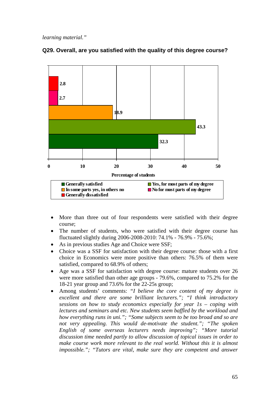*learning material."* 



# **Q29. Overall, are you satisfied with the quality of this degree course?**

- More than three out of four respondents were satisfied with their degree course;
- The number of students, who were satisfied with their degree course has fluctuated slightly during 2006-2008-2010: 74.1% - 76.9% - 75.6%;
- As in previous studies Age and Choice were SSF;
- Choice was a SSF for satisfaction with their degree course: those with a first choice in Economics were more positive than others: 76.5% of them were satisfied, compared to 68.9% of others;
- Age was a SSF for satisfaction with degree course: mature students over 26 were more satisfied than other age groups - 79.6%, compared to 75.2% for the 18-21 year group and 73.6% for the 22-25s group;
- Among students' comments: *"I believe the core content of my degree is excellent and there are some brilliant lecturers."; "I think introductory sessions on how to study economics especially for year 1s – coping with lectures and seminars and etc. New students seem baffled by the workload and how everything runs in uni."; "Some subjects seem to be too broad and so are not very appealing. This would de-motivate the student."; "The spoken English of some overseas lecturers needs improving"; "More tutorial discussion time needed partly to allow discussion of topical issues in order to make course work more relevant to the real world. Without this it is almost impossible."; "Tutors are vital, make sure they are competent and answer*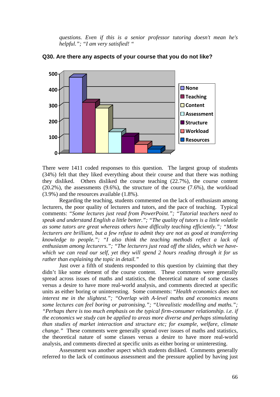*questions. Even if this is a senior professor tutoring doesn't mean he's helpful."; "I am very satisfied! "*



#### **Q30. Are there any aspects of your course that you do not like?**

There were 1411 coded responses to this question. The largest group of students (34%) felt that they liked everything about their course and that there was nothing they disliked. Others disliked the course teaching (22.7%), the course content  $(20.2\%)$ , the assessments  $(9.6\%)$ , the structure of the course  $(7.6\%)$ , the workload (3.9%) and the resources available (1.8%).

Regarding the teaching, students commented on the lack of enthusiasm among lecturers, the poor quality of lecturers and tutors, and the pace of teaching. Typical comments: *"Some lectures just read from PowerPoint."; "Tutorial teachers need to speak and understand English a little better."; "The quality of tutors is a little volatile as some tutors are great whereas others have difficulty teaching efficiently."; "Most lecturers are brilliant, but a few refuse to admit they are not as good at transferring knowledge to people."; "I also think the teaching methods reflect a lack of enthusiasm among lecturers."; "The lecturers just read off the slides, which we havewhich we can read our self, yet they will spend 2 hours reading through it for us rather than explaining the topic in detail."*

Just over a fifth of students responded to this question by claiming that they didn't like some element of the course content. These comments were generally spread across issues of maths and statistics, the theoretical nature of some classes versus a desire to have more real-world analysis, and comments directed at specific units as either boring or uninteresting. Some comments: "*Health economics does not interest me in the slightest."; "Overlap with A-level maths and economics means some lectures can feel boring or patronising."; "Unrealistic modelling and maths."; "Perhaps there is too much emphasis on the typical firm-consumer relationship. i.e. if the economics we study can be applied to areas more diverse and perhaps stimulating than studies of market interaction and structure etc; for example, welfare, climate change."* These comments were generally spread over issues of maths and statistics, the theoretical nature of some classes versus a desire to have more real-world analysis, and comments directed at specific units as either boring or uninteresting.

Assessment was another aspect which students disliked. Comments generally referred to the lack of continuous assessment and the pressure applied by having just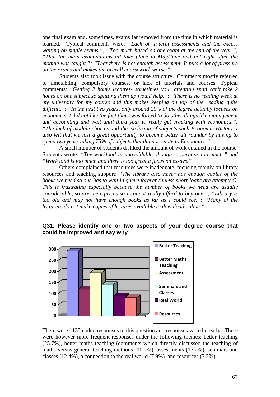one final exam and, sometimes, exams far removed from the time in which material is learned. Typical comments were: *"Lack of in-term assessments and the excess waiting on single exams."; "Too much based on one exam at the end of the year."; "That the main examinations all take place in May/June and not right after the module was taught."; "That there is not enough assessment. It puts a lot of pressure on the exams and makes the overall coursework worse."*

Students also took issue with the course structure. Comments mostly referred to timetabling, compulsory courses, or lack of tutorials and courses. Typical comments: *"Getting 2 hours lectures- sometimes your attention span can't take 2 hours on one subject so splitting them up would help."; "There is no reading week at my university for my course and this makes keeping on top of the reading quite difficult."; "In the first two years, only around 25% of the degree actually focuses on economics. I did not like the fact that I was forced to do other things like management and accounting and wait until third year to really get cracking with economics."; "The lack of module choices and the exclusion of subjects such Economic History. I also felt that we lost a great opportunity to become better all rounder by having to spend two years taking 75% of subjects that did not relate to Economics."* 

A small number of students disliked the amount of work entailed in the course. Students wrote: *"The workload in unavoidable, though ... perhaps too much." and "Work load is too much and there is too great a focus on essays."*

Others complained that resources were inadequate, focusing mainly on library resources and teaching support: *"The library also never has enough copies of the books we need so one has to wait in queue forever (unless short-loans are attempted). This is frustrating especially because the number of books we need are usually considerable, so are their prices so I cannot really afford to buy one."; "Library is too old and may not have enough books as far as I could see."; "Many of the lecturers do not make copies of lectures available to download online."* 



**Q31. Please identify one or two aspects of your degree course that could be improved and say why** 

There were 1135 coded responses to this question and responses varied greatly. There were however more frequent responses under the following themes: better teaching (25.7%), better maths teaching (comments which directly discussed the teaching of maths versus general teaching methods -10.7%), assessments (17.2%), seminars and classes (12.4%), a connection to the real world (7.9%) and resources (7.2%).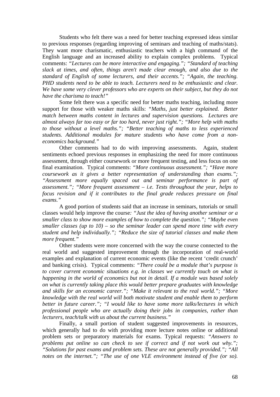Students who felt there was a need for better teaching expressed ideas similar to previous responses (regarding improving of seminars and teaching of maths/stats). They want more charismatic, enthusiastic teachers with a high command of the English language and an increased ability to explain complex problems. Typical comments: *"Lectures can be more interactive and engaging."; "Standard of teaching slack at times, and often, things aren't made clear enough, and also due to the standard of English of some lecturers, and their accents."; "Again, the teaching. PHD students need to be able to teach. Lecturers need to be enthusiastic and clear. We have some very clever professors who are experts on their subject, but they do not have the charisma to teach!"*

Some felt there was a specific need for better maths teaching, including more support for those with weaker maths skills: *"Maths, just better explained. Better match between maths content in lectures and supervision questions. Lectures are almost always far too easy or far too hard, never just right."; "More help with maths to those without a level maths."; "Better teaching of maths to less experienced students. Additional modules for mature students who have come from a noneconomics background."* 

Other comments had to do with improving assessments. Again, student sentiments echoed previous responses in emphasizing the need for more continuous assessment, through either coursework or more frequent testing, and less focus on one final examination. Typical comments: *"More continuous assessment."; "Have more coursework as it gives a better representation of understanding than exams."; "Assessment more equally spaced out and seminar performance is part of assessment."; "More frequent assessment – i.e. Tests throughout the year, helps to focus revision and if it contributes to the final grade reduces pressure on final exams."*

A good portion of students said that an increase in seminars, tutorials or small classes would help improve the course*: "Just the idea of having another seminar or a smaller class to show more examples of how to complete the question."; "Maybe even smaller classes (up to 10) – so the seminar leader can spend more time with every student and help individually."; "Reduce the size of tutorial classes and make them more frequent."*

Other students were more concerned with the way the course connected to the real world and suggested improvement through the incorporation of real-world examples and explanation of current economic events (like the recent 'credit crunch' and banking crisis). Typical comments: *"There could be a module that's purpose is to cover current economic situations e.g. in classes we currently touch on what is happening in the world of economics but not in detail. If a module was based solely on what is currently taking place this would better prepare graduates with knowledge and skills for an economic career."; "Make it relevant to the real world."; "More knowledge with the real world will both motivate student and enable them to perform better in future career."; "I would like to have some more talks/lectures in which professional people who are actually doing their jobs in companies, rather than lecturers, teach/talk with us about the current business."* 

Finally, a small portion of student suggested improvements in resources, which generally had to do with providing more lecture notes online or additional problem sets or preparatory materials for exams. Typical requests: *"Answers to problems put online so can check to see if correct and if not work out why."; "Solutions for past exams and problem sets. These are not generally provided."; "All notes on the internet."; "The use of one VLE environment instead of five (or so).*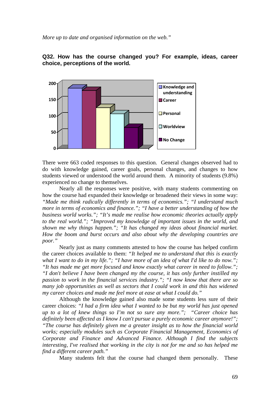

**Q32. How has the course changed you? For example, ideas, career choice, perceptions of the world.** 

There were 663 coded responses to this question. General changes observed had to do with knowledge gained, career goals, personal changes, and changes to how students viewed or understood the world around them. A minority of students (9.8%) experienced no change to themselves.

Nearly all the responses were positive, with many students commenting on how the course had expanded their knowledge or broadened their views in some way: *"Made me think radically differently in terms of economics."; "I understand much more in terms of economics and finance."; "I have a better understanding of how the business world works."; "It's made me realise how economic theories actually apply to the real world."; "Improved my knowledge of important issues in the world, and shown me why things happen."; "It has changed my ideas about financial market. How the boom and burst occurs and also about why the developing countries are poor."* 

Nearly just as many comments attested to how the course has helped confirm the career choices available to them: *"It helped me to understand that this is exactly what I want to do in my life."; "I have more of an idea of what I'd like to do now."; "It has made me get more focused and know exactly what career in need to follow."; "I don't believe I have been changed my the course, it has only further instilled my passion to work in the financial services industry."; "I now know that there are so many job opportunities as well as sectors that I could work in and this has widened my career choices and made me feel more at ease at what I could do."*

Although the knowledge gained also made some students less sure of their career choices: *"I had a firm idea what I wanted to be but my world has just opened up to a lot of knew things so I'm not so sure any more."; "Career choice has definitely been affected as I know I can't pursue a purely economic career anymore!"; "The course has definitely given me a greater insight as to how the financial world works; especially modules such as Corporate Financial Management, Economics of Corporate and Finance and Advanced Finance. Although I find the subjects interesting, I've realised that working in the city is not for me and so has helped me find a different career path."* 

Many students felt that the course had changed them personally. These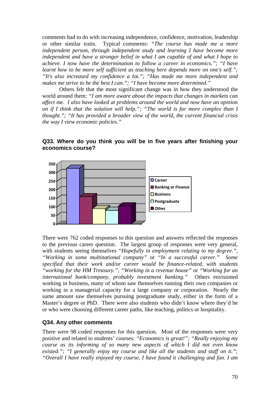comments had to do with increasing independence, confidence, motivation, leadership or other similar traits. Typical comments: *"The course has made me a more independent person, through independent study and learning I have become more independent and have a stronger belief in what I am capable of and what I hope to achieve. I now have the determination to follow a career in economics."; "I have learnt how to be more self sufficient as teaching here depends more on one's self."; "It's also increased my confidence a lot."; "Has made me more independent and makes me strive to be the best I can."; "I have become more determined."* 

Others felt that the most significant change was in how they understood the world around them: *"I am more aware about the impacts that changes in markets can affect me. I also have looked at problems around the world and now have an opinion on if I think that the solution will help."; "The world is far more complex than I thought."; "It has provided a broader view of the world, the current financial crisis the way I view economic policies."*



**Q33. Where do you think you will be in five years after finishing your economics course?** 

There were 762 coded responses to this question and answers reflected the responses to the previous career question. The largest group of responses were very general, with students seeing themselves *"Hopefully in employment relating to my degree.", "Working in some multinational company"* or *"In a successful career." Some specified that their work and/or career would be finance-related, with students "working for the HM Treasury.", "Working in a revenue house"* or *"Working for an international bank/company, probably investment banking."* Others envisioned working in business, many of whom saw themselves running their own companies or working in a managerial capacity for a large company or corporation. Nearly the same amount saw themselves pursuing postgraduate study, either in the form of a Master's degree or PhD. There were also students who didn't know where they'd be or who were choosing different career paths, like teaching, politics or hospitality.

#### **Q34. Any other comments**

There were 98 coded responses for this question. Most of the responses were very positive and related to students' courses: *"Economics is great!"; "Really enjoying my course as its informing of so many new aspects of which I did not even know existed."; "I generally enjoy my course and like all the students and staff on it."; "Overall I have really enjoyed my course, I have found it challenging and fun. I am*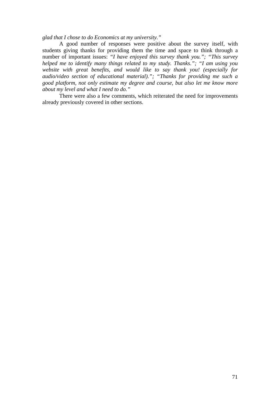*glad that I chose to do Economics at my university."*

A good number of responses were positive about the survey itself, with students giving thanks for providing them the time and space to think through a number of important issues: *"I have enjoyed this survey thank you."; "This survey helped me to identify many things related to my study. Thanks."; "I am using you website with great benefits, and would like to say thank you! (especially for audio/video section of educational material)."; "Thanks for providing me such a good platform, not only estimate my degree and course, but also let me know more about my level and what I need to do."* 

There were also a few comments, which reiterated the need for improvements already previously covered in other sections.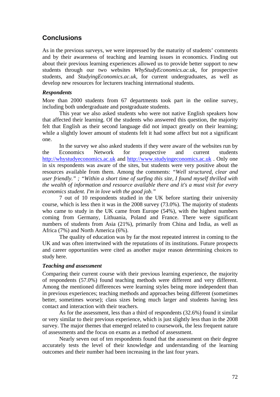# **Conclusions**

As in the previous surveys, we were impressed by the maturity of students' comments and by their awareness of teaching and learning issues in economics. Finding out about their previous learning experiences allowed us to provide better support to new students through our two websites *WhyStudyEconomics.ac.*uk, for prospective students, and *StudyingEconomics.ac.uk*, for current undergraduates, as well as develop new resources for lecturers teaching international students.

#### *Respondents*

More than 2000 students from 67 departments took part in the online survey, including both undergraduate and postgraduate students.

This year we also asked students who were not native English speakers how that affected their learning. Of the students who answered this question, the majority felt that English as their second language did not impact greatly on their learning; while a slightly lower amount of students felt it had some affect but not a significant one.

In the survey we also asked students if they were aware of the websites run by the Economics Network for prospective and current students http://whystudyeconomics.ac.uk and http://www.studyingeconomics.ac.uk . Only one in six respondents was aware of the sites, but students were very positive about the resources available from them. Among the comments: *"Well structured, clear and user friendly." ; "Within a short time of surfing this site, I found myself thrilled with the wealth of information and resource available there and it's a must visit for every economics student. I'm in love with the good job."* 

7 out of 10 respondents studied in the UK before starting their university course, which is less then it was in the 2008 survey (73.0%). The majority of students who came to study in the UK came from Europe  $(54%)$ , with the highest numbers coming from Germany, Lithuania, Poland and France. There were significant numbers of students from Asia (21%), primarily from China and India, as well as Africa (7%) and North America (6%).

The quality of education was by far the most repeated interest in coming to the UK and was often intertwined with the reputations of its institutions. Future prospects and career opportunities were cited as another major reason determining choices to study here.

#### *Teaching and assessment*

Comparing their current course with their previous learning experience, the majority of respondents (57.0%) found teaching methods were different and very different. Among the mentioned differences were learning styles being more independent than in previous experiences; teaching methods and approaches being different (sometimes better, sometimes worse); class sizes being much larger and students having less contact and interaction with their teachers.

As for the assessment, less than a third of respondents (32.6%) found it similar or very similar to their previous experience, which is just slightly less than in the 2008 survey. The major themes that emerged related to coursework, the less frequent nature of assessments and the focus on exams as a method of assessment.

Nearly seven out of ten respondents found that the assessment on their degree accurately tests the level of their knowledge and understanding of the learning outcomes and their number had been increasing in the last four years.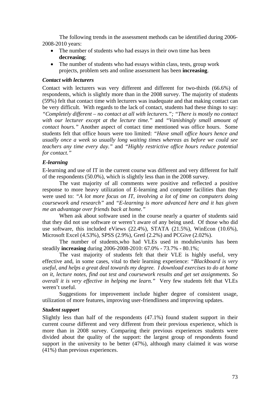The following trends in the assessment methods can be identified during 2006- 2008-2010 years:

- The number of students who had essays in their own time has been **decreasing**;
- The number of students who had essays within class, tests, group work projects, problem sets and online assessment has been **increasing**.

#### *Contact with lecturers*

Contact with lecturers was very different and different for two-thirds (66.6%) of respondents, which is slightly more than in the 2008 survey. The majority of students (59%) felt that contact time with lecturers was inadequate and that making contact can be very difficult. With regards to the lack of contact, students had these things to say: *"Completely different – no contact at all with lecturers."; "There is mostly no contact with our lecturer except at the lecture time."* and *"Vanishingly small amount of contact hours."* Another aspect of contact time mentioned was office hours. Some students felt that office hours were too limited: *"Have small office hours hence and usually once a week so usually long waiting times whereas as before we could see teachers any time every day."* and *"Highly restrictive office hours reduce potential for contact."*

#### *E-learning*

E-learning and use of IT in the current course was different and very different for half of the respondents (50.0%), which is slightly less than in the 2008 survey.

The vast majority of all comments were positive and reflected a positive response to more heavy utilization of E-learning and computer facilities than they were used to: *"A lot more focus on IT, involving a lot of time on computers doing coursework and research"* and *"E-learning is more advanced here and it has given me an advantage over friends back at home."*

When ask about software used in the course nearly a quarter of students said that they did not use software or weren't aware of any being used. Of those who did use software, this included eViews (22.4%), STATA (21.5%), WinEcon (10.6%), Microsoft Excel (4.53%), SPSS (2.9%), Gretl (2.2%) and PCGive (2.02%).

 The number of students,who had VLEs used in modules/units has been steadily **increasing** during 2006-2008-2010: 67.0% - 73.7% - 80.1%;

The vast majority of students felt that their VLE is highly useful, very effective and, in some cases, vital to their learning experience: *"Blackboard is very useful, and helps a great deal towards my degree. I download exercises to do at home on it, lecture notes, find out test and coursework results and get set assignments. So overall it is very effective in helping me learn."* Very few students felt that VLEs weren't useful.

Suggestions for improvement include higher degree of consistent usage, utilization of more features, improving user-friendliness and improving updates.

#### *Student support*

Slightly less than half of the respondents (47.1%) found student support in their current course different and very different from their previous experience, which is more than in 2008 survey. Comparing their previous experiences students were divided about the quality of the support: the largest group of respondents found support in the university to be better (47%), although many claimed it was worse (41%) than previous experiences.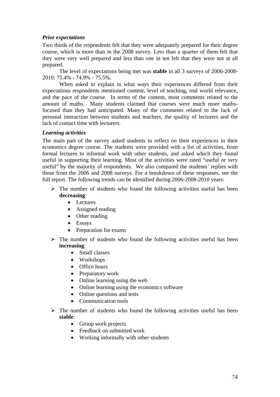# *Prior expectations*

Two thirds of the respondents felt that they were adequately prepared for their degree course, which is more than in the 2008 survey. Less than a quarter of them felt that they were very well prepared and less than one in ten felt that they were not at all prepared.

The level of expectations being met was **stable** in all 3 surveys of 2006-2008- 2010: 75.4% - 74.9% - 75.5%.

When asked to explain in what ways their experiences differed from their expectations respondents mentioned content, level of teaching, real world relevance, and the pace of the course. In terms of the content, most comments related to the amount of maths. Many students claimed that courses were much more mathsfocused than they had anticipated. Many of the comments related to the lack of personal interaction between students and teachers, the quality of lecturers and the lack of contact time with lecturers.

## *Learning activities*

The main part of the survey asked students to reflect on their experiences in their economics degree course. The students were provided with a list of activities, from formal lectures to informal work with other students, and asked which they found useful in supporting their learning. Most of the activities were rated "useful or very useful" by the majority of respondents. We also compared the students' replies with those from the 2006 and 2008 surveys. For a breakdown of these responses, see the full report. The following trends can be identified during 2006-2008-2010 years:

- $\triangleright$  The number of students who found the following activities useful has been **decreasing**:
	- Lectures
	- Assigned reading
	- Other reading
	- Essays
	- Preparation for exams
- $\triangleright$  The number of students who found the following activities useful has been **increasing**:
	- Small classes
	- Workshops
	- Office hours
	- Preparatory work
	- Online learning using the web
	- Online learning using the economics software
	- Online questions and tests
	- Communication tools
- $\triangleright$  The number of students who found the following activities useful has been **stable**:
	- Group work projects
	- Feedback on submitted work
	- Working informally with other students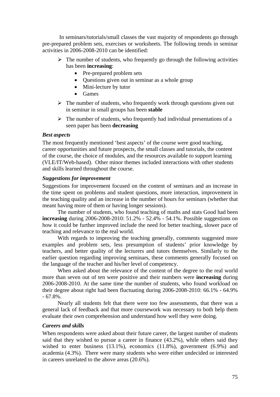In seminars/tutorials/small classes the vast majority of respondents go through pre-prepared problem sets, exercises or worksheets. The following trends in seminar activities in 2006-2008-2010 can be identified:

- $\triangleright$  The number of students, who frequently go through the following activities has been **increasing**:
	- Pre-prepared problem sets
	- Ouestions given out in seminar as a whole group
	- Mini-lecture by tutor
	- Games
- $\triangleright$  The number of students, who frequently work through questions given out in seminar in small groups has been **stable**
- $\triangleright$  The number of students, who frequently had individual presentations of a seen paper has been **decreasing**

### *Best aspects*

The most frequently mentioned 'best aspects' of the course were good teaching, career opportunities and future prospects, the small classes and tutorials, the content of the course, the choice of modules, and the resources available to support learning (VLE/IT/Web-based). Other minor themes included interactions with other students and skills learned throughout the course.

#### *Suggestions for improvement*

Suggestions for improvement focused on the content of seminars and an increase in the time spent on problems and student questions, more interaction, improvement in the teaching quality and an increase in the number of hours for seminars (whether that meant having more of them or having longer sessions).

The number of students, who found teaching of maths and stats Good had been **increasing** during 2006-2008-2010: 51.2% - 52.4% - 54.1%. Possible suggestions on how it could be further improved include the need for better teaching, slower pace of teaching and relevance to the real world.

With regards to improving the teaching generally, comments suggested more examples and problem sets, less presumption of students' prior knowledge by teachers, and better quality of the lecturers and tutors themselves. Similarly to the earlier question regarding improving seminars, these comments generally focused on the language of the teacher and his/her level of competency.

When asked about the relevance of the content of the degree to the real world more than seven out of ten were positive and their numbers were **increasing** during 2006-2008-2010. At the same time the number of students, who found workload on their degree about right had been fluctuating during 2006-2008-2010: 66.1% - 64.9%  $-67.8\%$ .

Nearly all students felt that there were too few assessments, that there was a general lack of feedback and that more coursework was necessary to both help them evaluate their own comprehension and understand how well they were doing.

## *Careers and skills*

When respondents were asked about their future career, the largest number of students said that they wished to pursue a career in finance (43.2%), while others said they wished to enter business (13.1%), economics (11.8%), government (6.9%) and academia (4.3%). There were many students who were either undecided or interested in careers unrelated to the above areas (20.6%).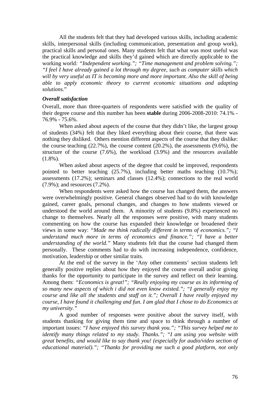All the students felt that they had developed various skills, including academic skills, interpersonal skills (including communication, presentation and group work), practical skills and personal ones. Many students felt that what was most useful was the practical knowledge and skills they'd gained which are directly applicable to the working world*: "Independent working."; "Time management and problem solving."; "I feel I have already gained a lot through my degree, such as computer skills which will by very useful as IT is becoming more and more important. Also the skill of being able to apply economic theory to current economic situations and adapting solutions.*"

#### *Overall satisfaction*

Overall, more than three-quarters of respondents were satisfied with the quality of their degree course and this number has been **stable** during 2006-2008-2010: 74.1% - 76.9% - 75.6%.

When asked about aspects of the course that they didn't like, the largest group of students (34%) felt that they liked everything about their course, that there was nothing they disliked. Others mention different aspects of the course that they dislike: the course teaching (22.7%), the course content (20.2%), the assessments (9.6%), the structure of the course (7.6%), the workload (3.9%) and the resources available  $(1.8\%)$ .

When asked about aspects of the degree that could be improved, respondents pointed to better teaching (25.7%), including better maths teaching (10.7%); assessments (17.2%); seminars and classes (12.4%); connections to the real world (7.9%); and resources (7.2%).

When respondents were asked how the course has changed them, the answers were overwhelmingly positive. General changes observed had to do with knowledge gained, career goals, personal changes, and changes to how students viewed or understood the world around them. A minority of students (9.8%) experienced no change to themselves. Nearly all the responses were positive, with many students commenting on how the course has expanded their knowledge or broadened their views in some way: *"Made me think radically different in terms of economics."; "I understand much more in terms of economics and finance."; "I have a better understanding of the world."* Many students felt that the course had changed them personally. These comments had to do with increasing independence, confidence, motivation, leadership or other similar traits.

At the end of the survey in the 'Any other comments' section students left generally positive replies about how they enjoyed the course overall and/or giving thanks for the opportunity to participate in the survey and reflect on their learning. Among them: *"Economics is great!"; "Really enjoying my course as its informing of so many new aspects of which i did not even know existed."; "I generally enjoy my course and like all the students and staff on it."; Overall I have really enjoyed my course, I have found it challenging and fun. I am glad that I chose to do Economics at my university."* 

A good number of responses were positive about the survey itself, with students thanking for giving them time and space to think through a number of important issues: *"I have enjoyed this survey thank you."; "This survey helped me to identify many things related to my study. Thanks."; "I am using you website with great benefits, and would like to say thank you! (especially for audio/video section of educational material)."; "Thanks for providing me such a good platform, not only*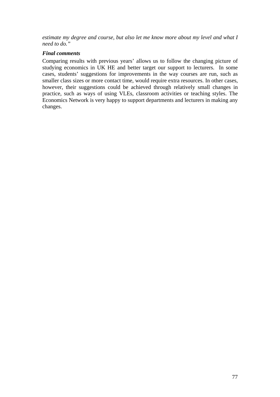*estimate my degree and course, but also let me know more about my level and what I need to do."* 

# *Final comments*

Comparing results with previous years' allows us to follow the changing picture of studying economics in UK HE and better target our support to lecturers. In some cases, students' suggestions for improvements in the way courses are run, such as smaller class sizes or more contact time, would require extra resources. In other cases, however, their suggestions could be achieved through relatively small changes in practice, such as ways of using VLEs, classroom activities or teaching styles. The Economics Network is very happy to support departments and lecturers in making any changes.